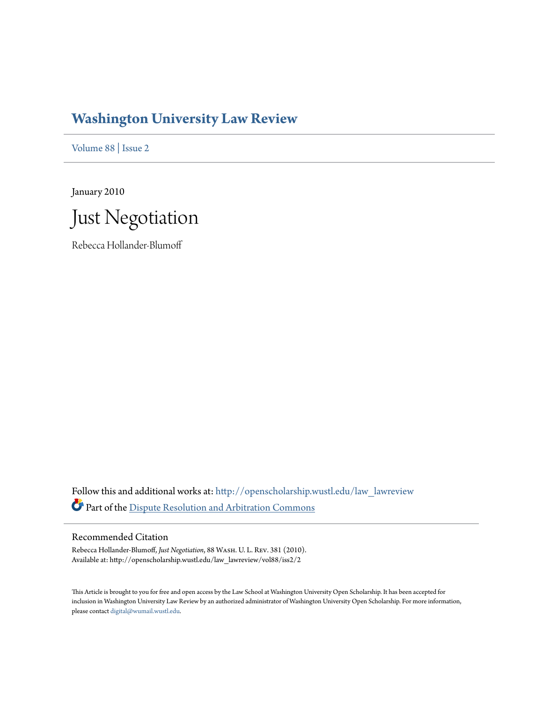# **[Washington University Law Review](http://openscholarship.wustl.edu/law_lawreview?utm_source=openscholarship.wustl.edu%2Flaw_lawreview%2Fvol88%2Fiss2%2F2&utm_medium=PDF&utm_campaign=PDFCoverPages)**

[Volume 88](http://openscholarship.wustl.edu/law_lawreview/vol88?utm_source=openscholarship.wustl.edu%2Flaw_lawreview%2Fvol88%2Fiss2%2F2&utm_medium=PDF&utm_campaign=PDFCoverPages) | [Issue 2](http://openscholarship.wustl.edu/law_lawreview/vol88/iss2?utm_source=openscholarship.wustl.edu%2Flaw_lawreview%2Fvol88%2Fiss2%2F2&utm_medium=PDF&utm_campaign=PDFCoverPages)

January 2010



Rebecca Hollander-Blumoff

Follow this and additional works at: [http://openscholarship.wustl.edu/law\\_lawreview](http://openscholarship.wustl.edu/law_lawreview?utm_source=openscholarship.wustl.edu%2Flaw_lawreview%2Fvol88%2Fiss2%2F2&utm_medium=PDF&utm_campaign=PDFCoverPages) Part of the [Dispute Resolution and Arbitration Commons](http://network.bepress.com/hgg/discipline/890?utm_source=openscholarship.wustl.edu%2Flaw_lawreview%2Fvol88%2Fiss2%2F2&utm_medium=PDF&utm_campaign=PDFCoverPages)

## Recommended Citation

Rebecca Hollander-Blumoff, *Just Negotiation*, 88 Wash. U. L. Rev. 381 (2010). Available at: http://openscholarship.wustl.edu/law\_lawreview/vol88/iss2/2

This Article is brought to you for free and open access by the Law School at Washington University Open Scholarship. It has been accepted for inclusion in Washington University Law Review by an authorized administrator of Washington University Open Scholarship. For more information, please contact [digital@wumail.wustl.edu.](mailto:digital@wumail.wustl.edu)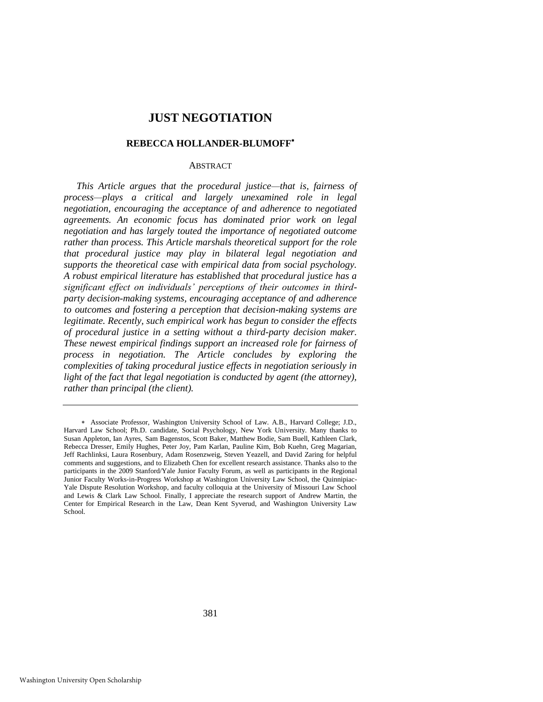# **JUST NEGOTIATION**

#### **REBECCA HOLLANDER-BLUMOFF**

## **ABSTRACT**

*This Article argues that the procedural justice—that is, fairness of process—plays a critical and largely unexamined role in legal negotiation, encouraging the acceptance of and adherence to negotiated agreements. An economic focus has dominated prior work on legal negotiation and has largely touted the importance of negotiated outcome rather than process. This Article marshals theoretical support for the role that procedural justice may play in bilateral legal negotiation and supports the theoretical case with empirical data from social psychology. A robust empirical literature has established that procedural justice has a significant effect on individuals' perceptions of their outcomes in thirdparty decision-making systems, encouraging acceptance of and adherence to outcomes and fostering a perception that decision-making systems are legitimate. Recently, such empirical work has begun to consider the effects of procedural justice in a setting without a third-party decision maker. These newest empirical findings support an increased role for fairness of process in negotiation. The Article concludes by exploring the complexities of taking procedural justice effects in negotiation seriously in light of the fact that legal negotiation is conducted by agent (the attorney), rather than principal (the client).* 

Associate Professor, Washington University School of Law. A.B., Harvard College; J.D., Harvard Law School; Ph.D. candidate, Social Psychology, New York University. Many thanks to Susan Appleton, Ian Ayres, Sam Bagenstos, Scott Baker, Matthew Bodie, Sam Buell, Kathleen Clark, Rebecca Dresser, Emily Hughes, Peter Joy, Pam Karlan, Pauline Kim, Bob Kuehn, Greg Magarian, Jeff Rachlinksi, Laura Rosenbury, Adam Rosenzweig, Steven Yeazell, and David Zaring for helpful comments and suggestions, and to Elizabeth Chen for excellent research assistance. Thanks also to the participants in the 2009 Stanford/Yale Junior Faculty Forum, as well as participants in the Regional Junior Faculty Works-in-Progress Workshop at Washington University Law School, the Quinnipiac-Yale Dispute Resolution Workshop, and faculty colloquia at the University of Missouri Law School and Lewis & Clark Law School. Finally, I appreciate the research support of Andrew Martin, the Center for Empirical Research in the Law, Dean Kent Syverud, and Washington University Law School.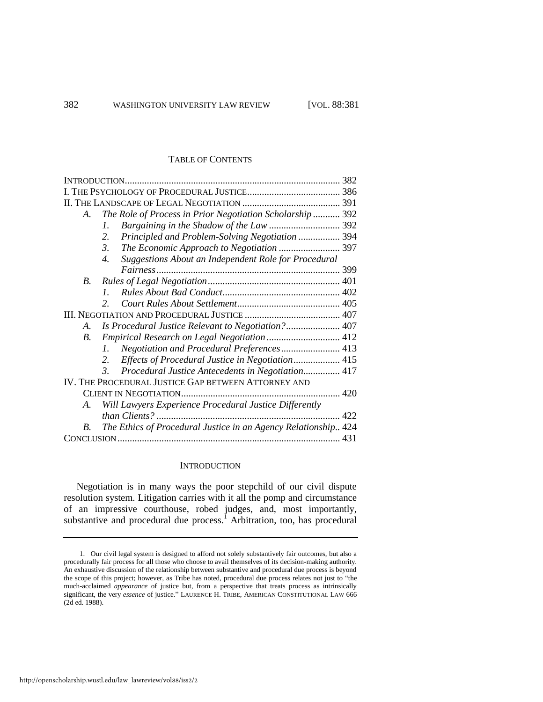## TABLE OF CONTENTS

| A.                                                  | The Role of Process in Prior Negotiation Scholarship  392                |     |
|-----------------------------------------------------|--------------------------------------------------------------------------|-----|
|                                                     | $\mathcal{I}$ .                                                          |     |
|                                                     | Principled and Problem-Solving Negotiation  394<br>2.                    |     |
|                                                     | $\mathfrak{Z}$                                                           |     |
|                                                     | $\overline{4}$ .<br>Suggestions About an Independent Role for Procedural |     |
|                                                     |                                                                          |     |
| <i>B</i> .                                          |                                                                          |     |
|                                                     | $\mathcal{I}$                                                            |     |
|                                                     | $\mathcal{L}$                                                            |     |
|                                                     |                                                                          |     |
| A.                                                  |                                                                          |     |
| $B_{\cdot}$                                         |                                                                          |     |
|                                                     | Negotiation and Procedural Preferences 413<br>$l_{\perp}$                |     |
|                                                     | Effects of Procedural Justice in Negotiation 415                         |     |
|                                                     | Procedural Justice Antecedents in Negotiation 417<br>3.                  |     |
| IV. THE PROCEDURAL JUSTICE GAP BETWEEN ATTORNEY AND |                                                                          |     |
|                                                     |                                                                          |     |
| А.                                                  | Will Lawyers Experience Procedural Justice Differently                   |     |
|                                                     |                                                                          | 422 |
| B.                                                  | The Ethics of Procedural Justice in an Agency Relationship 424           |     |
|                                                     |                                                                          |     |
|                                                     |                                                                          |     |

#### <span id="page-2-0"></span>**INTRODUCTION**

Negotiation is in many ways the poor stepchild of our civil dispute resolution system. Litigation carries with it all the pomp and circumstance of an impressive courthouse, robed judges, and, most importantly, substantive and procedural due process.<sup>1</sup> Arbitration, too, has procedural

<sup>1.</sup> Our civil legal system is designed to afford not solely substantively fair outcomes, but also a procedurally fair process for all those who choose to avail themselves of its decision-making authority. An exhaustive discussion of the relationship between substantive and procedural due process is beyond the scope of this project; however, as Tribe has noted, procedural due process relates not just to "the much-acclaimed *appearance* of justice but, from a perspective that treats process as intrinsically significant, the very *essence* of justice." LAURENCE H. TRIBE, AMERICAN CONSTITUTIONAL LAW 666 (2d ed. 1988).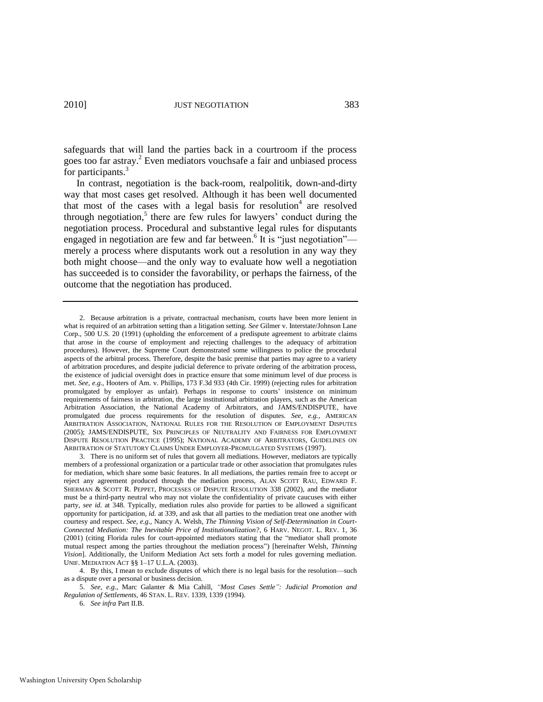safeguards that will land the parties back in a courtroom if the process goes too far astray.<sup>2</sup> Even mediators vouchsafe a fair and unbiased process for participants.<sup>3</sup>

<span id="page-3-0"></span>In contrast, negotiation is the back-room, realpolitik, down-and-dirty way that most cases get resolved. Although it has been well documented that most of the cases with a legal basis for resolution<sup>4</sup> are resolved through negotiation, $5$  there are few rules for lawyers' conduct during the negotiation process. Procedural and substantive legal rules for disputants engaged in negotiation are few and far between.<sup>6</sup> It is "just negotiation" merely a process where disputants work out a resolution in any way they both might choose—and the only way to evaluate how well a negotiation has succeeded is to consider the favorability, or perhaps the fairness, of the outcome that the negotiation has produced.

6. *See infra* Part II.B.

<sup>2.</sup> Because arbitration is a private, contractual mechanism, courts have been more lenient in what is required of an arbitration setting than a litigation setting. *See* Gilmer v. Interstate/Johnson Lane Corp., 500 U.S. 20 (1991) (upholding the enforcement of a predispute agreement to arbitrate claims that arose in the course of employment and rejecting challenges to the adequacy of arbitration procedures). However, the Supreme Court demonstrated some willingness to police the procedural aspects of the arbitral process. Therefore, despite the basic premise that parties may agree to a variety of arbitration procedures, and despite judicial deference to private ordering of the arbitration process, the existence of judicial oversight does in practice ensure that some minimum level of due process is met. *See, e.g.*, Hooters of Am. v. Phillips, 173 F.3d 933 (4th Cir. 1999) (rejecting rules for arbitration promulgated by employer as unfair). Perhaps in response to courts' insistence on minimum requirements of fairness in arbitration, the large institutional arbitration players, such as the American Arbitration Association, the National Academy of Arbitrators, and JAMS/ENDISPUTE, have promulgated due process requirements for the resolution of disputes. *See, e.g.*, AMERICAN ARBITRATION ASSOCIATION, NATIONAL RULES FOR THE RESOLUTION OF EMPLOYMENT DISPUTES (2005); JAMS/ENDISPUTE, SIX PRINCIPLES OF NEUTRALITY AND FAIRNESS FOR EMPLOYMENT DISPUTE RESOLUTION PRACTICE (1995); NATIONAL ACADEMY OF ARBITRATORS, GUIDELINES ON ARBITRATION OF STATUTORY CLAIMS UNDER EMPLOYER-PROMULGATED SYSTEMS (1997).

<sup>3.</sup> There is no uniform set of rules that govern all mediations. However, mediators are typically members of a professional organization or a particular trade or other association that promulgates rules for mediation, which share some basic features. In all mediations, the parties remain free to accept or reject any agreement produced through the mediation process, ALAN SCOTT RAU, EDWARD F. SHERMAN & SCOTT R. PEPPET, PROCESSES OF DISPUTE RESOLUTION 338 (2002), and the mediator must be a third-party neutral who may not violate the confidentiality of private caucuses with either party, *see id.* at 348*.* Typically, mediation rules also provide for parties to be allowed a significant opportunity for participation, *id.* at 339, and ask that all parties to the mediation treat one another with courtesy and respect. *See, e.g.*, Nancy A. Welsh, *The Thinning Vision of Self-Determination in Court-Connected Mediation: The Inevitable Price of Institutionalization?*, 6 HARV. NEGOT. L. REV. 1, 36 (2001) (citing Florida rules for court-appointed mediators stating that the "mediator shall promote mutual respect among the parties throughout the mediation process‖) [hereinafter Welsh, *Thinning Vision*]. Additionally, the Uniform Mediation Act sets forth a model for rules governing mediation. UNIF. MEDIATION ACT §§ 1–17 U.L.A. (2003).

<sup>4.</sup> By this, I mean to exclude disputes of which there is no legal basis for the resolution—such as a dispute over a personal or business decision.

<sup>5.</sup> *See, e.g.*, Marc Galanter & Mia Cahill, *"Most Cases Settle": Judicial Promotion and Regulation of Settlements*, 46 STAN. L. REV. 1339, 1339 (1994).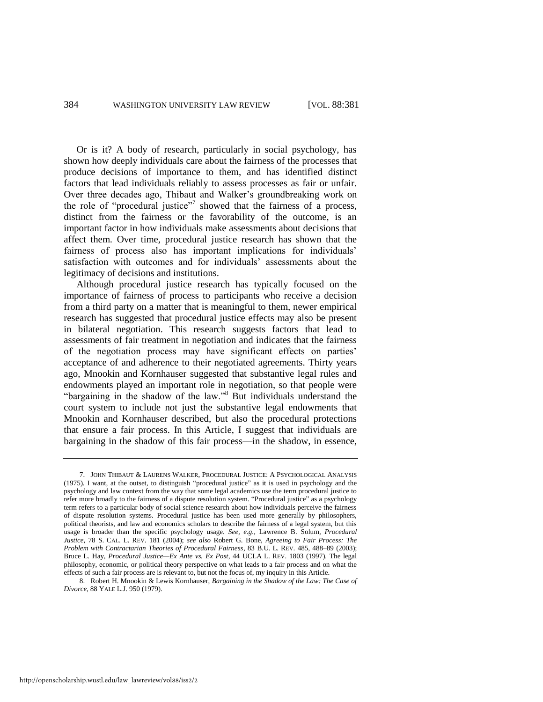<span id="page-4-0"></span>Or is it? A body of research, particularly in social psychology, has shown how deeply individuals care about the fairness of the processes that produce decisions of importance to them, and has identified distinct factors that lead individuals reliably to assess processes as fair or unfair. Over three decades ago, Thibaut and Walker's groundbreaking work on the role of "procedural justice"<sup>7</sup> showed that the fairness of a process, distinct from the fairness or the favorability of the outcome, is an important factor in how individuals make assessments about decisions that affect them. Over time, procedural justice research has shown that the fairness of process also has important implications for individuals' satisfaction with outcomes and for individuals' assessments about the legitimacy of decisions and institutions.

Although procedural justice research has typically focused on the importance of fairness of process to participants who receive a decision from a third party on a matter that is meaningful to them, newer empirical research has suggested that procedural justice effects may also be present in bilateral negotiation. This research suggests factors that lead to assessments of fair treatment in negotiation and indicates that the fairness of the negotiation process may have significant effects on parties' acceptance of and adherence to their negotiated agreements. Thirty years ago, Mnookin and Kornhauser suggested that substantive legal rules and endowments played an important role in negotiation, so that people were "bargaining in the shadow of the law."<sup>8</sup> But individuals understand the court system to include not just the substantive legal endowments that Mnookin and Kornhauser described, but also the procedural protections that ensure a fair process. In this Article, I suggest that individuals are bargaining in the shadow of this fair process—in the shadow, in essence,

http://openscholarship.wustl.edu/law\_lawreview/vol88/iss2/2

<span id="page-4-1"></span><sup>7.</sup> JOHN THIBAUT & LAURENS WALKER, PROCEDURAL JUSTICE: A PSYCHOLOGICAL ANALYSIS (1975). I want, at the outset, to distinguish "procedural justice" as it is used in psychology and the psychology and law context from the way that some legal academics use the term procedural justice to refer more broadly to the fairness of a dispute resolution system. "Procedural justice" as a psychology term refers to a particular body of social science research about how individuals perceive the fairness of dispute resolution systems. Procedural justice has been used more generally by philosophers, political theorists, and law and economics scholars to describe the fairness of a legal system, but this usage is broader than the specific psychology usage. *See, e.g.*, Lawrence B. Solum, *Procedural Justice*, 78 S. CAL. L. REV. 181 (2004); *see also* Robert G. Bone, *Agreeing to Fair Process: The Problem with Contractarian Theories of Procedural Fairness*, 83 B.U. L. REV. 485, 488–89 (2003); Bruce L. Hay, *Procedural Justice—Ex Ante vs. Ex Post*, 44 UCLA L. REV. 1803 (1997). The legal philosophy, economic, or political theory perspective on what leads to a fair process and on what the effects of such a fair process are is relevant to, but not the focus of, my inquiry in this Article.

<sup>8.</sup> Robert H. Mnookin & Lewis Kornhauser, *Bargaining in the Shadow of the Law: The Case of Divorce*, 88 YALE L.J. 950 (1979).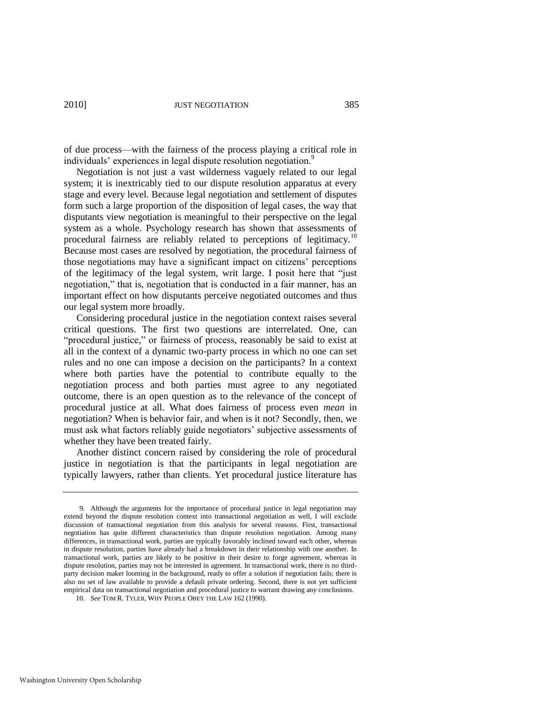of due process—with the fairness of the process playing a critical role in individuals' experiences in legal dispute resolution negotiation.<sup>9</sup>

<span id="page-5-0"></span>Negotiation is not just a vast wilderness vaguely related to our legal system; it is inextricably tied to our dispute resolution apparatus at every stage and every level. Because legal negotiation and settlement of disputes form such a large proportion of the disposition of legal cases, the way that disputants view negotiation is meaningful to their perspective on the legal system as a whole. Psychology research has shown that assessments of procedural fairness are reliably related to perceptions of legitimacy.<sup>10</sup> Because most cases are resolved by negotiation, the procedural fairness of those negotiations may have a significant impact on citizens' perceptions of the legitimacy of the legal system, writ large. I posit here that "just negotiation," that is, negotiation that is conducted in a fair manner, has an important effect on how disputants perceive negotiated outcomes and thus our legal system more broadly.

Considering procedural justice in the negotiation context raises several critical questions. The first two questions are interrelated. One, can "procedural justice," or fairness of process, reasonably be said to exist at all in the context of a dynamic two-party process in which no one can set rules and no one can impose a decision on the participants? In a context where both parties have the potential to contribute equally to the negotiation process and both parties must agree to any negotiated outcome, there is an open question as to the relevance of the concept of procedural justice at all. What does fairness of process even *mean* in negotiation? When is behavior fair, and when is it not? Secondly, then, we must ask what factors reliably guide negotiators' subjective assessments of whether they have been treated fairly.

Another distinct concern raised by considering the role of procedural justice in negotiation is that the participants in legal negotiation are typically lawyers, rather than clients. Yet procedural justice literature has

<sup>9.</sup> Although the arguments for the importance of procedural justice in legal negotiation may extend beyond the dispute resolution context into transactional negotiation as well, I will exclude discussion of transactional negotiation from this analysis for several reasons. First, transactional negotiation has quite different characteristics than dispute resolution negotiation. Among many differences, in transactional work, parties are typically favorably inclined toward each other, whereas in dispute resolution, parties have already had a breakdown in their relationship with one another. In transactional work, parties are likely to be positive in their desire to forge agreement, whereas in dispute resolution, parties may not be interested in agreement. In transactional work, there is no thirdparty decision maker looming in the background, ready to offer a solution if negotiation fails; there is also no set of law available to provide a default private ordering. Second, there is not yet sufficient empirical data on transactional negotiation and procedural justice to warrant drawing any conclusions.

<sup>10.</sup> *See* TOM R. TYLER, WHY PEOPLE OBEY THE LAW 162 (1990).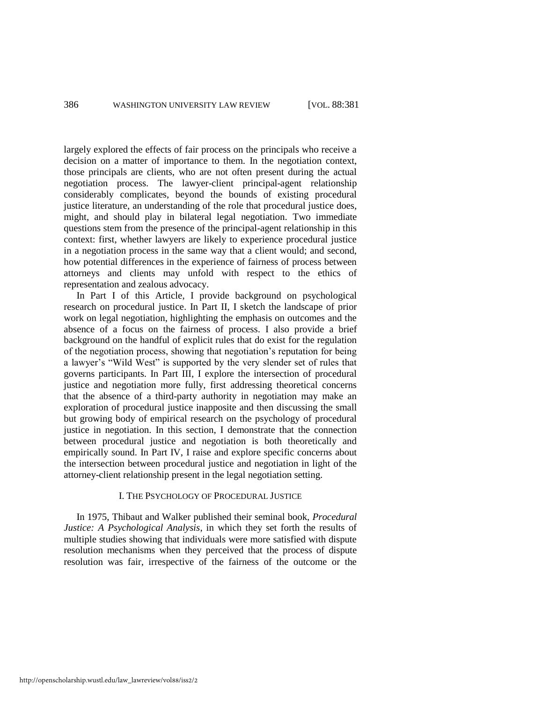largely explored the effects of fair process on the principals who receive a decision on a matter of importance to them. In the negotiation context, those principals are clients, who are not often present during the actual negotiation process. The lawyer-client principal-agent relationship considerably complicates, beyond the bounds of existing procedural justice literature, an understanding of the role that procedural justice does, might, and should play in bilateral legal negotiation. Two immediate questions stem from the presence of the principal-agent relationship in this context: first, whether lawyers are likely to experience procedural justice in a negotiation process in the same way that a client would; and second, how potential differences in the experience of fairness of process between attorneys and clients may unfold with respect to the ethics of representation and zealous advocacy.

In Part I of this Article, I provide background on psychological research on procedural justice. In Part II, I sketch the landscape of prior work on legal negotiation, highlighting the emphasis on outcomes and the absence of a focus on the fairness of process. I also provide a brief background on the handful of explicit rules that do exist for the regulation of the negotiation process, showing that negotiation's reputation for being a lawyer's "Wild West" is supported by the very slender set of rules that governs participants. In Part III, I explore the intersection of procedural justice and negotiation more fully, first addressing theoretical concerns that the absence of a third-party authority in negotiation may make an exploration of procedural justice inapposite and then discussing the small but growing body of empirical research on the psychology of procedural justice in negotiation. In this section, I demonstrate that the connection between procedural justice and negotiation is both theoretically and empirically sound. In Part IV, I raise and explore specific concerns about the intersection between procedural justice and negotiation in light of the attorney-client relationship present in the legal negotiation setting.

## I. THE PSYCHOLOGY OF PROCEDURAL JUSTICE

In 1975, Thibaut and Walker published their seminal book, *Procedural Justice: A Psychological Analysis*, in which they set forth the results of multiple studies showing that individuals were more satisfied with dispute resolution mechanisms when they perceived that the process of dispute resolution was fair, irrespective of the fairness of the outcome or the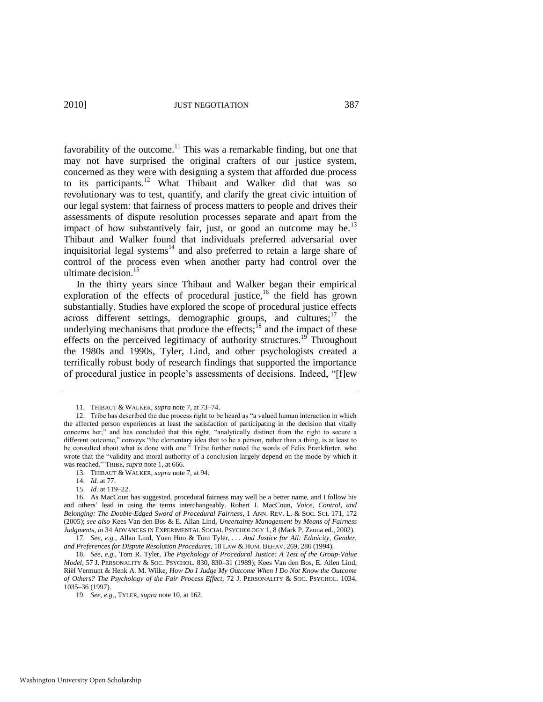favorability of the outcome.<sup>11</sup> This was a remarkable finding, but one that may not have surprised the original crafters of our justice system, concerned as they were with designing a system that afforded due process to its participants.<sup>12</sup> What Thibaut and Walker did that was so revolutionary was to test, quantify, and clarify the great civic intuition of our legal system: that fairness of process matters to people and drives their assessments of dispute resolution processes separate and apart from the impact of how substantively fair, just, or good an outcome may be.<sup>13</sup> Thibaut and Walker found that individuals preferred adversarial over inquisitorial legal systems<sup>14</sup> and also preferred to retain a large share of control of the process even when another party had control over the ultimate decision.<sup>15</sup>

<span id="page-7-2"></span><span id="page-7-0"></span>In the thirty years since Thibaut and Walker began their empirical exploration of the effects of procedural justice,<sup>16</sup> the field has grown substantially. Studies have explored the scope of procedural justice effects across different settings, demographic groups, and cultures; $17$  the underlying mechanisms that produce the effects; $^{18}$  and the impact of these effects on the perceived legitimacy of authority structures.<sup>19</sup> Throughout the 1980s and 1990s, Tyler, Lind, and other psychologists created a terrifically robust body of research findings that supported the importance of procedural justice in people's assessments of decisions. Indeed, "[f]ew

<span id="page-7-1"></span><sup>11.</sup> THIBAUT & WALKER, *supra* not[e 7,](#page-4-0) at 73–74.

<sup>12.</sup> Tribe has described the due process right to be heard as "a valued human interaction in which the affected person experiences at least the satisfaction of participating in the decision that vitally concerns her," and has concluded that this right, "analytically distinct from the right to secure a different outcome," conveys "the elementary idea that to be a person, rather than a thing, is at least to be consulted about what is done with one.<sup>"</sup> Tribe further noted the words of Felix Frankfurter, who wrote that the "validity and moral authority of a conclusion largely depend on the mode by which it was reached." TRIBE, *supra* not[e 1,](#page-2-0) at 666.

<sup>13.</sup> THIBAUT & WALKER, *supra* not[e 7,](#page-4-0) at 94.

<sup>14.</sup> *Id.* at 77.

<sup>15.</sup> *Id.* at 119–22.

<sup>16.</sup> As MacCoun has suggested, procedural fairness may well be a better name, and I follow his and others' lead in using the terms interchangeably. Robert J. MacCoun, *Voice, Control, and Belonging: The Double-Edged Sword of Procedural Fairness*, 1 ANN. REV. L. & SOC. SCI. 171, 172 (2005); *see also* Kees Van den Bos & E. Allan Lind, *Uncertainty Management by Means of Fairness Judgments*, *in* 34 ADVANCES IN EXPERIMENTAL SOCIAL PSYCHOLOGY 1, 8 (Mark P. Zanna ed., 2002).

<sup>17.</sup> *See, e.g.*, Allan Lind, Yuen Huo & Tom Tyler, . . . *And Justice for All: Ethnicity, Gender, and Preferences for Dispute Resolution Procedures*, 18 LAW & HUM. BEHAV. 269, 286 (1994).

<sup>18.</sup> *See, e.g.*, Tom R. Tyler, *The Psychology of Procedural Justice: A Test of the Group-Value Model*, 57 J. PERSONALITY & SOC. PSYCHOL. 830, 830–31 (1989); Kees Van den Bos, E. Allen Lind, Riël Vermunt & Henk A. M. Wilke, *How Do I Judge My Outcome When I Do Not Know the Outcome of Others? The Psychology of the Fair Process Effect*, 72 J. PERSONALITY & SOC. PSYCHOL. 1034, 1035–36 (1997).

<sup>19.</sup> *See, e.g.*, TYLER, *supra* note [10,](#page-5-0) at 162.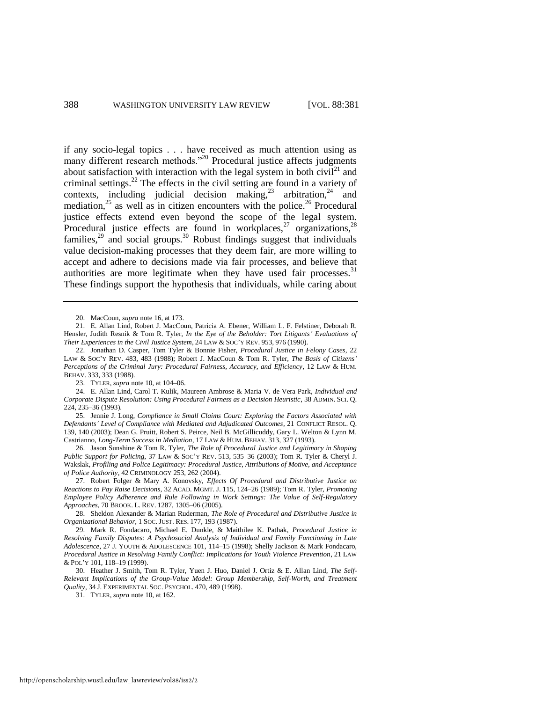<span id="page-8-0"></span>if any socio-legal topics . . . have received as much attention using as many different research methods."<sup>20</sup> Procedural justice affects judgments about satisfaction with interaction with the legal system in both civil<sup>21</sup> and criminal settings.<sup>22</sup> The effects in the civil setting are found in a variety of contexts, including judicial decision making,<sup>23</sup> arbitration,<sup>24</sup> and mediation, $25$  as well as in citizen encounters with the police.<sup>26</sup> Procedural justice effects extend even beyond the scope of the legal system. Procedural justice effects are found in workplaces, $27$  organizations, $28$ families, $^{29}$  and social groups.<sup>30</sup> Robust findings suggest that individuals value decision-making processes that they deem fair, are more willing to accept and adhere to decisions made via fair processes, and believe that authorities are more legitimate when they have used fair processes. $31$ These findings support the hypothesis that individuals, while caring about

25. Jennie J. Long, *Compliance in Small Claims Court: Exploring the Factors Associated with Defendants' Level of Compliance with Mediated and Adjudicated Outcomes*, 21 CONFLICT RESOL. Q. 139, 140 (2003); Dean G. Pruitt, Robert S. Peirce, Neil B. McGillicuddy, Gary L. Welton & Lynn M. Castrianno, *Long-Term Success in Mediation*, 17 LAW & HUM. BEHAV. 313, 327 (1993).

26. Jason Sunshine & Tom R. Tyler, *The Role of Procedural Justice and Legitimacy in Shaping Public Support for Policing*, 37 LAW & SOC'Y REV. 513, 535–36 (2003); Tom R. Tyler & Cheryl J. Wakslak, *Profiling and Police Legitimacy: Procedural Justice, Attributions of Motive, and Acceptance of Police Authority*, 42 CRIMINOLOGY 253, 262 (2004).

27. Robert Folger & Mary A. Konovsky, *Effects Of Procedural and Distributive Justice on Reactions to Pay Raise Decisions*, 32 ACAD. MGMT. J. 115, 124–26 (1989); Tom R. Tyler, *Promoting Employee Policy Adherence and Rule Following in Work Settings: The Value of Self-Regulatory Approaches*, 70 BROOK. L. REV. 1287, 1305–06 (2005).

28. Sheldon Alexander & Marian Ruderman, *The Role of Procedural and Distributive Justice in Organizational Behavior*, 1 SOC. JUST. RES. 177, 193 (1987).

29. Mark R. Fondacaro, Michael E. Dunkle, & Maithilee K. Pathak, *Procedural Justice in Resolving Family Disputes: A Psychosocial Analysis of Individual and Family Functioning in Late Adolescence*, 27 J. YOUTH & ADOLESCENCE 101, 114–15 (1998); Shelly Jackson & Mark Fondacaro, *Procedural Justice in Resolving Family Conflict: Implications for Youth Violence Prevention*, 21 LAW & POL'Y 101, 118–19 (1999).

<sup>20.</sup> MacCoun, *supra* note [16,](#page-7-0) at 173.

<sup>21.</sup> E. Allan Lind, Robert J. MacCoun, Patricia A. Ebener, William L. F. Felstiner, Deborah R. Hensler, Judith Resnik & Tom R. Tyler, *In the Eye of the Beholder: Tort Litigants' Evaluations of Their Experiences in the Civil Justice System*, 24 LAW & SOC'Y REV. 953, 976 (1990).

<sup>22.</sup> Jonathan D. Casper, Tom Tyler & Bonnie Fisher, *Procedural Justice in Felony Cases*, 22 LAW & SOC'Y REV. 483, 483 (1988); Robert J. MacCoun & Tom R. Tyler, *The Basis of Citizens' Perceptions of the Criminal Jury: Procedural Fairness, Accuracy, and Efficiency*, 12 LAW & HUM. BEHAV. 333, 333 (1988).

<sup>23.</sup> TYLER, *supra* not[e 10,](#page-5-0) at 104–06.

<sup>24.</sup> E. Allan Lind, Carol T. Kulik, Maureen Ambrose & Maria V. de Vera Park, *Individual and Corporate Dispute Resolution: Using Procedural Fairness as a Decision Heuristic*, 38 ADMIN. SCI. Q. 224, 235–36 (1993).

<sup>30.</sup> Heather J. Smith, Tom R. Tyler, Yuen J. Huo, Daniel J. Ortiz & E. Allan Lind, *The Self-Relevant Implications of the Group-Value Model: Group Membership, Self-Worth, and Treatment Quality*, 34 J. EXPERIMENTAL SOC. PSYCHOL. 470, 489 (1998).

<sup>31.</sup> TYLER, *supra* not[e 10,](#page-5-0) at 162.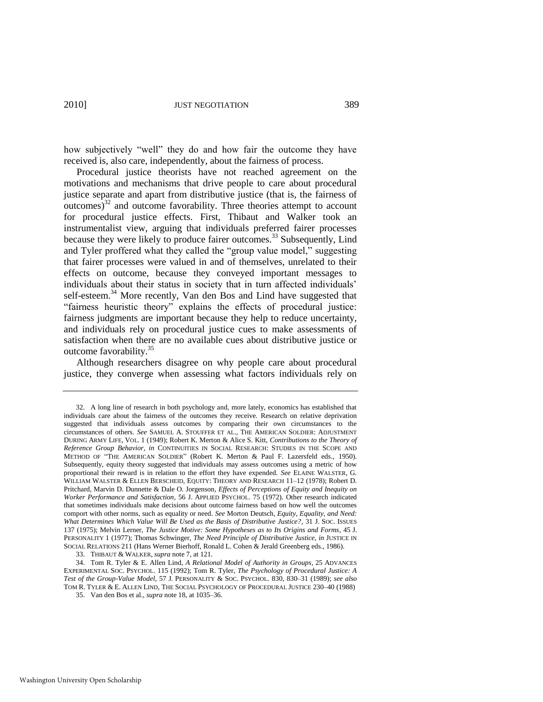how subjectively "well" they do and how fair the outcome they have received is, also care, independently, about the fairness of process.

Procedural justice theorists have not reached agreement on the motivations and mechanisms that drive people to care about procedural justice separate and apart from distributive justice (that is, the fairness of  $\omega$  outcomes)<sup>32</sup> and outcome favorability. Three theories attempt to account for procedural justice effects. First, Thibaut and Walker took an instrumentalist view, arguing that individuals preferred fairer processes because they were likely to produce fairer outcomes.<sup>33</sup> Subsequently, Lind and Tyler proffered what they called the "group value model," suggesting that fairer processes were valued in and of themselves, unrelated to their effects on outcome, because they conveyed important messages to individuals about their status in society that in turn affected individuals' self-esteem.<sup>34</sup> More recently, Van den Bos and Lind have suggested that "fairness heuristic theory" explains the effects of procedural justice: fairness judgments are important because they help to reduce uncertainty, and individuals rely on procedural justice cues to make assessments of satisfaction when there are no available cues about distributive justice or outcome favorability.<sup>35</sup>

Although researchers disagree on why people care about procedural justice, they converge when assessing what factors individuals rely on

33. THIBAUT & WALKER, *supra* not[e 7,](#page-4-0) at 121.

<sup>32.</sup> A long line of research in both psychology and, more lately, economics has established that individuals care about the fairness of the outcomes they receive. Research on relative deprivation suggested that individuals assess outcomes by comparing their own circumstances to the circumstances of others. *See* SAMUEL A. STOUFFER ET AL., THE AMERICAN SOLDIER: ADJUSTMENT DURING ARMY LIFE, VOL. 1 (1949); Robert K. Merton & Alice S. Kitt, *Contributions to the Theory of Reference Group Behavior*, *in* CONTINUITIES IN SOCIAL RESEARCH: STUDIES IN THE SCOPE AND METHOD OF "THE AMERICAN SOLDIER" (Robert K. Merton & Paul F. Lazersfeld eds., 1950). Subsequently, equity theory suggested that individuals may assess outcomes using a metric of how proportional their reward is in relation to the effort they have expended. *See* ELAINE WALSTER, G. WILLIAM WALSTER & ELLEN BERSCHEID, EQUITY: THEORY AND RESEARCH 11–12 (1978); Robert D. Pritchard, Marvin D. Dunnette & Dale O. Jorgenson, *Effects of Perceptions of Equity and Inequity on Worker Performance and Satisfaction*, 56 J. APPLIED PSYCHOL. 75 (1972). Other research indicated that sometimes individuals make decisions about outcome fairness based on how well the outcomes comport with other norms, such as equality or need. *See* Morton Deutsch, *Equity, Equality, and Need: What Determines Which Value Will Be Used as the Basis of Distributive Justice?*, 31 J. SOC. ISSUES 137 (1975); Melvin Lerner, *The Justice Motive: Some Hypotheses as to Its Origins and Forms*, 45 J. PERSONALITY 1 (1977); Thomas Schwinger, *The Need Principle of Distributive Justice*, *in* JUSTICE IN SOCIAL RELATIONS 211 (Hans Werner Bierhoff, Ronald L. Cohen & Jerald Greenberg eds., 1986).

<sup>34.</sup> Tom R. Tyler & E. Allen Lind, *A Relational Model of Authority in Groups*, 25 ADVANCES EXPERIMENTAL SOC. PSYCHOL. 115 (1992); Tom R. Tyler, *The Psychology of Procedural Justice: A Test of the Group-Value Model*, 57 J. PERSONALITY & SOC. PSYCHOL. 830, 830–31 (1989); *see also*  TOM R. TYLER & E. ALLEN LIND, THE SOCIAL PSYCHOLOGY OF PROCEDURAL JUSTICE 230–40 (1988)

<sup>35.</sup> Van den Bos et al., *supra* not[e 18,](#page-7-1) at 1035–36.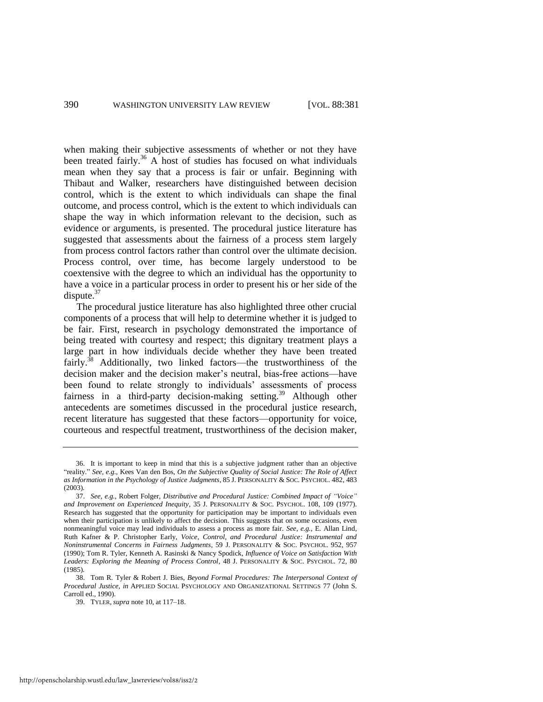<span id="page-10-0"></span>when making their subjective assessments of whether or not they have been treated fairly.<sup>36</sup> A host of studies has focused on what individuals mean when they say that a process is fair or unfair. Beginning with Thibaut and Walker, researchers have distinguished between decision control, which is the extent to which individuals can shape the final outcome, and process control, which is the extent to which individuals can shape the way in which information relevant to the decision, such as evidence or arguments, is presented. The procedural justice literature has suggested that assessments about the fairness of a process stem largely from process control factors rather than control over the ultimate decision. Process control, over time, has become largely understood to be coextensive with the degree to which an individual has the opportunity to have a voice in a particular process in order to present his or her side of the dispute.<sup>37</sup>

The procedural justice literature has also highlighted three other crucial components of a process that will help to determine whether it is judged to be fair. First, research in psychology demonstrated the importance of being treated with courtesy and respect; this dignitary treatment plays a large part in how individuals decide whether they have been treated fairly.<sup>38</sup> Additionally, two linked factors—the trustworthiness of the decision maker and the decision maker's neutral, bias-free actions—have been found to relate strongly to individuals' assessments of process fairness in a third-party decision-making setting.<sup>39</sup> Although other antecedents are sometimes discussed in the procedural justice research, recent literature has suggested that these factors—opportunity for voice, courteous and respectful treatment, trustworthiness of the decision maker,

<sup>36.</sup> It is important to keep in mind that this is a subjective judgment rather than an objective ―reality.‖ *See, e.g.*, Kees Van den Bos, *On the Subjective Quality of Social Justice: The Role of Affect as Information in the Psychology of Justice Judgments*, 85 J. PERSONALITY & SOC. PSYCHOL. 482, 483 (2003).

<sup>37.</sup> *See, e.g.*, Robert Folger, *Distributive and Procedural Justice: Combined Impact of "Voice" and Improvement on Experienced Inequity*, 35 J. PERSONALITY & SOC. PSYCHOL. 108, 109 (1977). Research has suggested that the opportunity for participation may be important to individuals even when their participation is unlikely to affect the decision. This suggests that on some occasions, even nonmeaningful voice may lead individuals to assess a process as more fair. *See, e.g.*, E. Allan Lind, Ruth Kafner & P. Christopher Early, *Voice, Control, and Procedural Justice: Instrumental and Noninstrumental Concerns in Fairness Judgments*, 59 J. PERSONALITY & SOC. PSYCHOL. 952, 957 (1990); Tom R. Tyler, Kenneth A. Rasinski & Nancy Spodick, *Influence of Voice on Satisfaction With Leaders: Exploring the Meaning of Process Control*, 48 J. PERSONALITY & SOC. PSYCHOL. 72, 80 (1985).

<sup>38.</sup> Tom R. Tyler & Robert J. Bies, *Beyond Formal Procedures: The Interpersonal Context of Procedural Justice*, *in* APPLIED SOCIAL PSYCHOLOGY AND ORGANIZATIONAL SETTINGS 77 (John S. Carroll ed., 1990).

<sup>39.</sup> TYLER, *supra* not[e 10,](#page-5-0) at 117–18.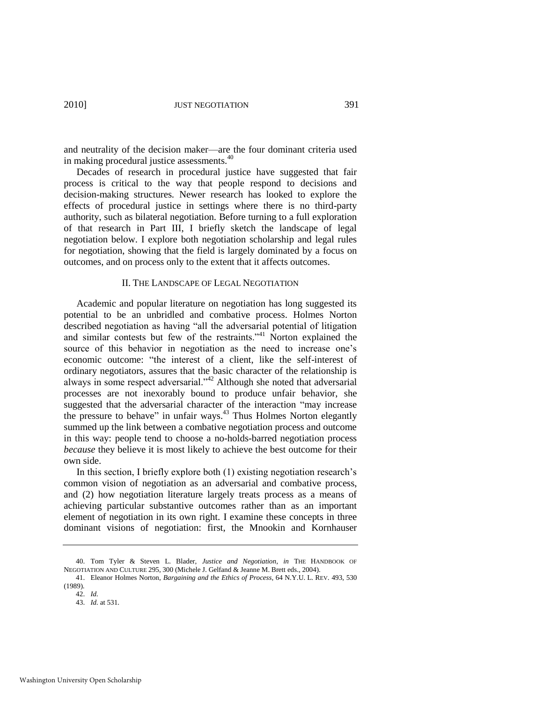and neutrality of the decision maker—are the four dominant criteria used in making procedural justice assessments.<sup>40</sup>

Decades of research in procedural justice have suggested that fair process is critical to the way that people respond to decisions and decision-making structures. Newer research has looked to explore the effects of procedural justice in settings where there is no third-party authority, such as bilateral negotiation. Before turning to a full exploration of that research in Part III, I briefly sketch the landscape of legal negotiation below. I explore both negotiation scholarship and legal rules for negotiation, showing that the field is largely dominated by a focus on outcomes, and on process only to the extent that it affects outcomes.

#### <span id="page-11-0"></span>II. THE LANDSCAPE OF LEGAL NEGOTIATION

Academic and popular literature on negotiation has long suggested its potential to be an unbridled and combative process. Holmes Norton described negotiation as having "all the adversarial potential of litigation and similar contests but few of the restraints."<sup>41</sup> Norton explained the source of this behavior in negotiation as the need to increase one's economic outcome: "the interest of a client, like the self-interest of ordinary negotiators, assures that the basic character of the relationship is always in some respect adversarial.<sup> $342$ </sup> Although she noted that adversarial processes are not inexorably bound to produce unfair behavior, she suggested that the adversarial character of the interaction "may increase the pressure to behave" in unfair ways. $43$  Thus Holmes Norton elegantly summed up the link between a combative negotiation process and outcome in this way: people tend to choose a no-holds-barred negotiation process *because* they believe it is most likely to achieve the best outcome for their own side.

In this section, I briefly explore both (1) existing negotiation research's common vision of negotiation as an adversarial and combative process, and (2) how negotiation literature largely treats process as a means of achieving particular substantive outcomes rather than as an important element of negotiation in its own right. I examine these concepts in three dominant visions of negotiation: first, the Mnookin and Kornhauser

<sup>40.</sup> Tom Tyler & Steven L. Blader, *Justice and Negotiation*, *in* THE HANDBOOK OF NEGOTIATION AND CULTURE 295, 300 (Michele J. Gelfand & Jeanne M. Brett eds., 2004).

<sup>41.</sup> Eleanor Holmes Norton, *Bargaining and the Ethics of Process*, 64 N.Y.U. L. REV. 493, 530 (1989).

<sup>42.</sup> *Id.* 

<sup>43.</sup> *Id.* at 531.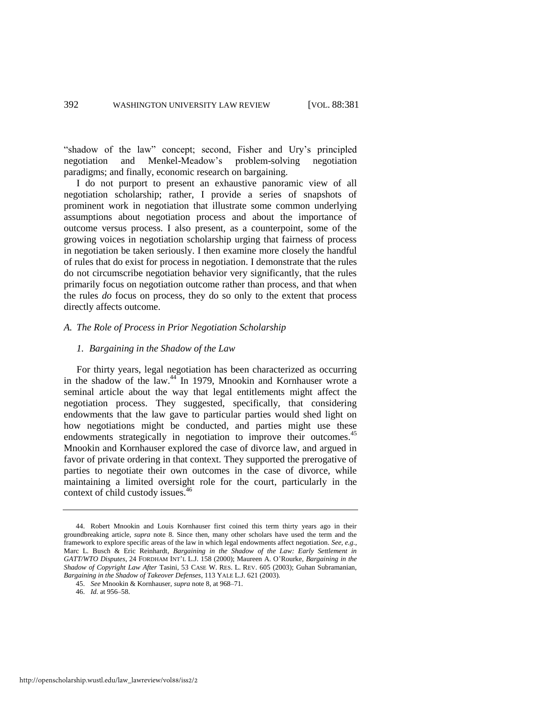"shadow of the law" concept; second, Fisher and Ury's principled negotiation and Menkel-Meadow's problem-solving negotiation paradigms; and finally, economic research on bargaining.

I do not purport to present an exhaustive panoramic view of all negotiation scholarship; rather, I provide a series of snapshots of prominent work in negotiation that illustrate some common underlying assumptions about negotiation process and about the importance of outcome versus process. I also present, as a counterpoint, some of the growing voices in negotiation scholarship urging that fairness of process in negotiation be taken seriously. I then examine more closely the handful of rules that do exist for process in negotiation. I demonstrate that the rules do not circumscribe negotiation behavior very significantly, that the rules primarily focus on negotiation outcome rather than process, and that when the rules *do* focus on process, they do so only to the extent that process directly affects outcome.

#### *A. The Role of Process in Prior Negotiation Scholarship*

#### *1. Bargaining in the Shadow of the Law*

For thirty years, legal negotiation has been characterized as occurring in the shadow of the law.<sup>44</sup> In 1979, Mnookin and Kornhauser wrote a seminal article about the way that legal entitlements might affect the negotiation process. They suggested, specifically, that considering endowments that the law gave to particular parties would shed light on how negotiations might be conducted, and parties might use these endowments strategically in negotiation to improve their outcomes.<sup>45</sup> Mnookin and Kornhauser explored the case of divorce law, and argued in favor of private ordering in that context. They supported the prerogative of parties to negotiate their own outcomes in the case of divorce, while maintaining a limited oversight role for the court, particularly in the context of child custody issues.<sup>46</sup>

<sup>44.</sup> Robert Mnookin and Louis Kornhauser first coined this term thirty years ago in their groundbreaking article, *supra* note [8.](#page-4-1) Since then, many other scholars have used the term and the framework to explore specific areas of the law in which legal endowments affect negotiation. *See, e.g.*, Marc L. Busch & Eric Reinhardt, *Bargaining in the Shadow of the Law: Early Settlement in GATT/WTO Disputes*, 24 FORDHAM INT'L L.J. 158 (2000); Maureen A. O'Rourke, *Bargaining in the Shadow of Copyright Law After* Tasini, 53 CASE W. RES. L. REV. 605 (2003); Guhan Subramanian, *Bargaining in the Shadow of Takeover Defenses*, 113 YALE L.J. 621 (2003).

<sup>45.</sup> *See* Mnookin & Kornhauser, *supra* not[e 8,](#page-4-1) at 968–71.

<sup>46.</sup> *Id.* at 956–58.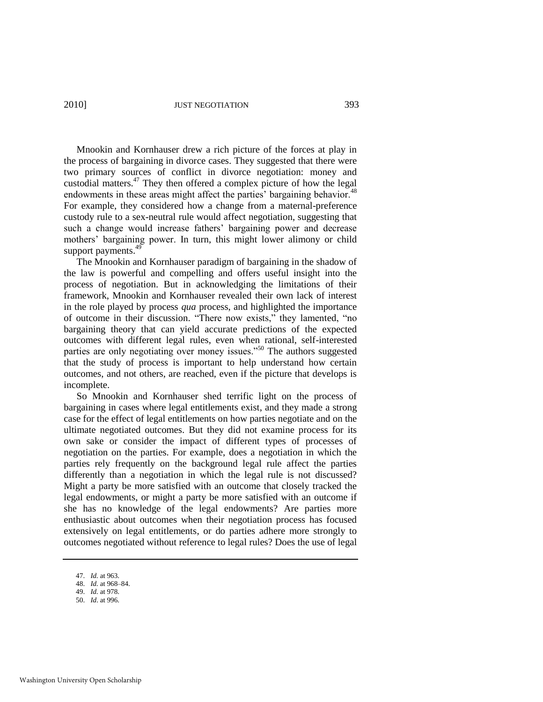Mnookin and Kornhauser drew a rich picture of the forces at play in the process of bargaining in divorce cases. They suggested that there were two primary sources of conflict in divorce negotiation: money and custodial matters.<sup>47</sup> They then offered a complex picture of how the legal endowments in these areas might affect the parties' bargaining behavior.<sup>48</sup> For example, they considered how a change from a maternal-preference custody rule to a sex-neutral rule would affect negotiation, suggesting that such a change would increase fathers' bargaining power and decrease mothers' bargaining power. In turn, this might lower alimony or child support payments.<sup>49</sup>

The Mnookin and Kornhauser paradigm of bargaining in the shadow of the law is powerful and compelling and offers useful insight into the process of negotiation. But in acknowledging the limitations of their framework, Mnookin and Kornhauser revealed their own lack of interest in the role played by process *qua* process, and highlighted the importance of outcome in their discussion. "There now exists," they lamented, "no bargaining theory that can yield accurate predictions of the expected outcomes with different legal rules, even when rational, self-interested parties are only negotiating over money issues."<sup>50</sup> The authors suggested that the study of process is important to help understand how certain outcomes, and not others, are reached, even if the picture that develops is incomplete.

So Mnookin and Kornhauser shed terrific light on the process of bargaining in cases where legal entitlements exist, and they made a strong case for the effect of legal entitlements on how parties negotiate and on the ultimate negotiated outcomes. But they did not examine process for its own sake or consider the impact of different types of processes of negotiation on the parties. For example, does a negotiation in which the parties rely frequently on the background legal rule affect the parties differently than a negotiation in which the legal rule is not discussed? Might a party be more satisfied with an outcome that closely tracked the legal endowments, or might a party be more satisfied with an outcome if she has no knowledge of the legal endowments? Are parties more enthusiastic about outcomes when their negotiation process has focused extensively on legal entitlements, or do parties adhere more strongly to outcomes negotiated without reference to legal rules? Does the use of legal

49. *Id.* at 978. 50. *Id*. at 996.

<sup>47.</sup> *Id.* at 963.

<sup>48.</sup> *Id.* at 968–84.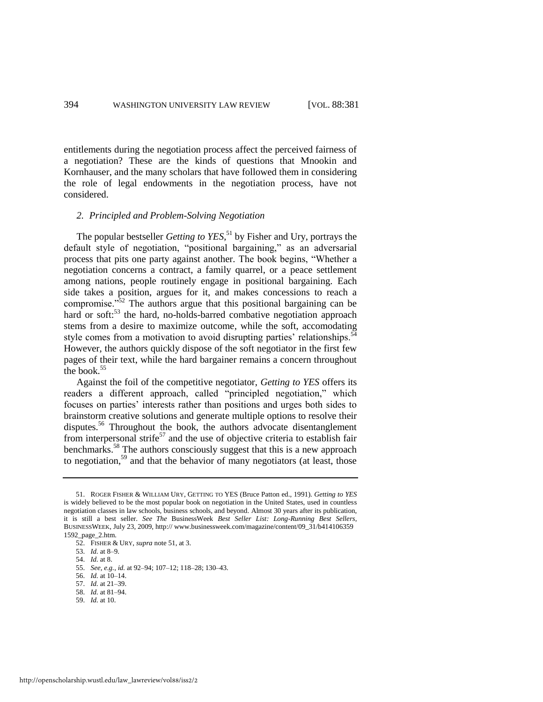entitlements during the negotiation process affect the perceived fairness of a negotiation? These are the kinds of questions that Mnookin and Kornhauser, and the many scholars that have followed them in considering the role of legal endowments in the negotiation process, have not considered.

#### <span id="page-14-0"></span>*2. Principled and Problem-Solving Negotiation*

The popular bestseller *Getting to YES*, <sup>51</sup> by Fisher and Ury, portrays the default style of negotiation, "positional bargaining," as an adversarial process that pits one party against another. The book begins, "Whether a negotiation concerns a contract, a family quarrel, or a peace settlement among nations, people routinely engage in positional bargaining. Each side takes a position, argues for it, and makes concessions to reach a compromise.<sup>552</sup> The authors argue that this positional bargaining can be hard or soft:<sup>53</sup> the hard, no-holds-barred combative negotiation approach stems from a desire to maximize outcome, while the soft, accomodating style comes from a motivation to avoid disrupting parties' relationships.<sup>54</sup> However, the authors quickly dispose of the soft negotiator in the first few pages of their text, while the hard bargainer remains a concern throughout the book.<sup>55</sup>

Against the foil of the competitive negotiator, *Getting to YES* offers its readers a different approach, called "principled negotiation," which focuses on parties' interests rather than positions and urges both sides to brainstorm creative solutions and generate multiple options to resolve their disputes.<sup>56</sup> Throughout the book, the authors advocate disentanglement from interpersonal strife $^{57}$  and the use of objective criteria to establish fair benchmarks.<sup>58</sup> The authors consciously suggest that this is a new approach to negotiation,<sup>59</sup> and that the behavior of many negotiators (at least, those

- 58. *Id.* at 81–94.
- 59. *Id.* at 10.

<sup>51.</sup> ROGER FISHER & WILLIAM URY, GETTING TO YES (Bruce Patton ed., 1991). *Getting to YES* is widely believed to be the most popular book on negotiation in the United States, used in countless negotiation classes in law schools, business schools, and beyond. Almost 30 years after its publication, it is still a best seller. *See The* BusinessWeek *Best Seller List: Long-Running Best Sellers*, BUSINESSWEEK, July 23, 2009, http:// www.businessweek.com/magazine/content/09\_31/b414106359 1592\_page\_2.htm.

<sup>52.</sup> FISHER & URY, *supra* note [51,](#page-14-0) at 3.

<sup>53.</sup> *Id.* at 8–9.

<sup>54.</sup> *Id.* at 8.

<sup>55.</sup> *See, e.g.*, *id.* at 92–94; 107–12; 118–28; 130–43.

<sup>56.</sup> *Id.* at 10–14.

<sup>57.</sup> *Id.* at 21–39.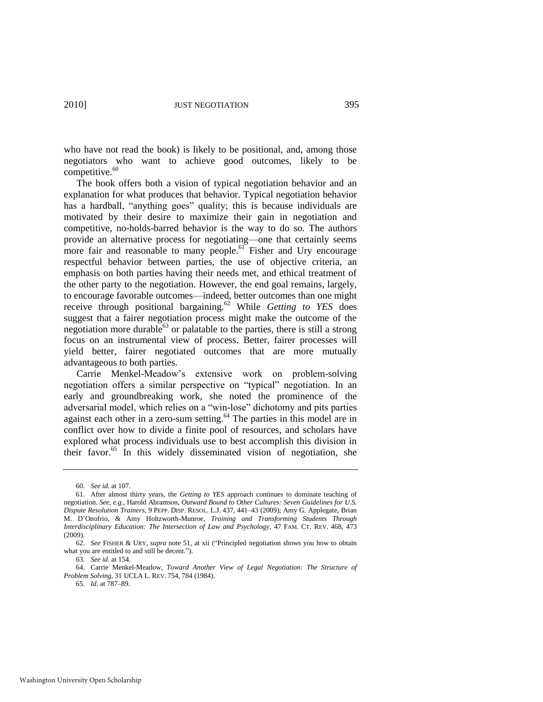who have not read the book) is likely to be positional, and, among those negotiators who want to achieve good outcomes, likely to be competitive.<sup>60</sup>

The book offers both a vision of typical negotiation behavior and an explanation for what produces that behavior. Typical negotiation behavior has a hardball, "anything goes" quality; this is because individuals are motivated by their desire to maximize their gain in negotiation and competitive, no-holds-barred behavior is the way to do so. The authors provide an alternative process for negotiating—one that certainly seems more fair and reasonable to many people.<sup>61</sup> Fisher and Ury encourage respectful behavior between parties, the use of objective criteria, an emphasis on both parties having their needs met, and ethical treatment of the other party to the negotiation. However, the end goal remains, largely, to encourage favorable outcomes—indeed, better outcomes than one might receive through positional bargaining.<sup>62</sup> While *Getting to YES* does suggest that a fairer negotiation process might make the outcome of the negotiation more durable<sup>63</sup> or palatable to the parties, there is still a strong focus on an instrumental view of process. Better, fairer processes will yield better, fairer negotiated outcomes that are more mutually advantageous to both parties.

Carrie Menkel-Meadow's extensive work on problem-solving negotiation offers a similar perspective on "typical" negotiation. In an early and groundbreaking work, she noted the prominence of the adversarial model, which relies on a "win-lose" dichotomy and pits parties against each other in a zero-sum setting.<sup>64</sup> The parties in this model are in conflict over how to divide a finite pool of resources, and scholars have explored what process individuals use to best accomplish this division in their favor. $65$  In this widely disseminated vision of negotiation, she

<sup>60.</sup> *See id.* at 107.

<sup>61.</sup> After almost thirty years, the *Getting to YES* approach continues to dominate teaching of negotiation. *See, e.g.*, Harold Abramson, *Outward Bound to Other Cultures: Seven Guidelines for U.S. Dispute Resolution Trainers*, 9 PEPP. DISP. RESOL. L.J. 437, 441–43 (2009); Amy G. Applegate, Brian M. D'Onofrio, & Amy Holtzworth-Munroe, *Training and Transforming Students Through Interdisciplinary Education: The Intersection of Law and Psychology*, 47 FAM. CT. REV. 468, 473 (2009).

<sup>62.</sup> *See FISHER & URY, supra* note [51,](#page-14-0) at xii ("Principled negotiation shows you how to obtain what you are entitled to and still be decent.").

<sup>63.</sup> *See id.* at 154.

<sup>64.</sup> Carrie Menkel-Meadow, *Toward Another View of Legal Negotiation: The Structure of Problem Solving*, 31 UCLA L. REV. 754, 784 (1984).

<sup>65.</sup> *Id.* at 787–89.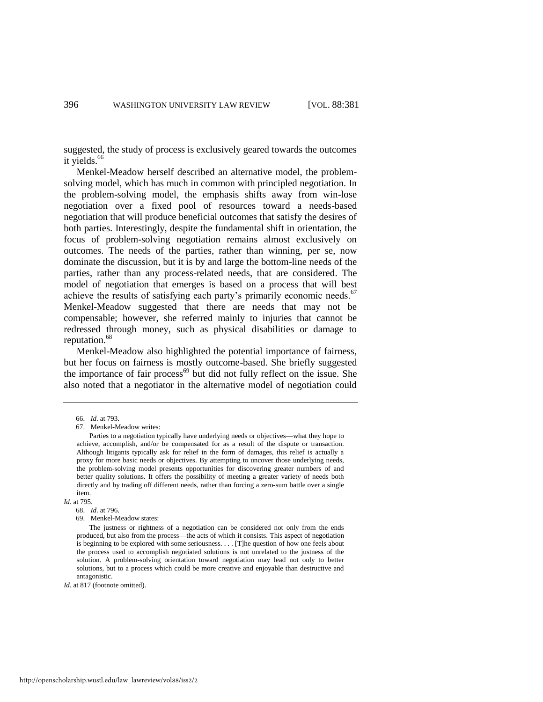suggested, the study of process is exclusively geared towards the outcomes it yields.<sup>66</sup>

Menkel-Meadow herself described an alternative model, the problemsolving model, which has much in common with principled negotiation. In the problem-solving model, the emphasis shifts away from win-lose negotiation over a fixed pool of resources toward a needs-based negotiation that will produce beneficial outcomes that satisfy the desires of both parties. Interestingly, despite the fundamental shift in orientation, the focus of problem-solving negotiation remains almost exclusively on outcomes. The needs of the parties, rather than winning, per se, now dominate the discussion, but it is by and large the bottom-line needs of the parties, rather than any process-related needs, that are considered. The model of negotiation that emerges is based on a process that will best achieve the results of satisfying each party's primarily economic needs.<sup>67</sup> Menkel-Meadow suggested that there are needs that may not be compensable; however, she referred mainly to injuries that cannot be redressed through money, such as physical disabilities or damage to reputation.<sup>68</sup>

Menkel-Meadow also highlighted the potential importance of fairness, but her focus on fairness is mostly outcome-based. She briefly suggested the importance of fair process $^{69}$  but did not fully reflect on the issue. She also noted that a negotiator in the alternative model of negotiation could

*Id.* at 795.

*Id.* at 817 (footnote omitted).

<sup>66.</sup> *Id.* at 793.

<sup>67.</sup> Menkel-Meadow writes:

Parties to a negotiation typically have underlying needs or objectives—what they hope to achieve, accomplish, and/or be compensated for as a result of the dispute or transaction. Although litigants typically ask for relief in the form of damages, this relief is actually a proxy for more basic needs or objectives. By attempting to uncover those underlying needs, the problem-solving model presents opportunities for discovering greater numbers of and better quality solutions. It offers the possibility of meeting a greater variety of needs both directly and by trading off different needs, rather than forcing a zero-sum battle over a single item.

<sup>68.</sup> *Id.* at 796.

<sup>69.</sup> Menkel-Meadow states:

The justness or rightness of a negotiation can be considered not only from the ends produced, but also from the process—the acts of which it consists. This aspect of negotiation is beginning to be explored with some seriousness. . . . [T]he question of how one feels about the process used to accomplish negotiated solutions is not unrelated to the justness of the solution. A problem-solving orientation toward negotiation may lead not only to better solutions, but to a process which could be more creative and enjoyable than destructive and antagonistic.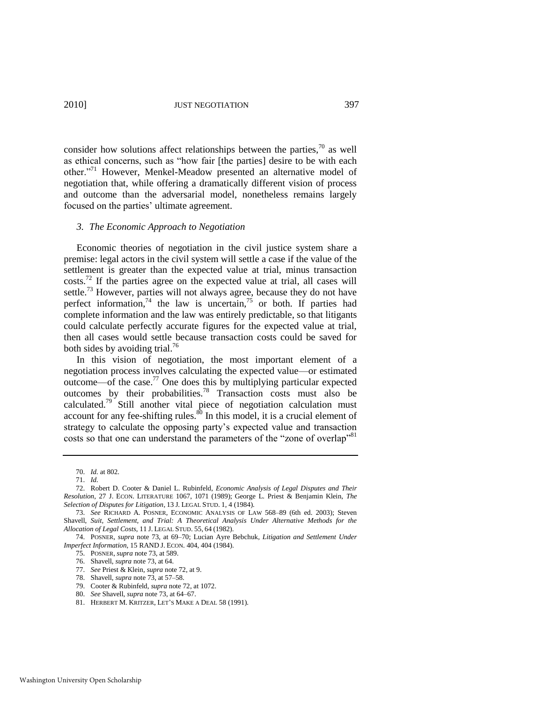consider how solutions affect relationships between the parties, $\frac{70}{10}$  as well as ethical concerns, such as "how fair [the parties] desire to be with each other."<sup>71</sup> However, Menkel-Meadow presented an alternative model of negotiation that, while offering a dramatically different vision of process and outcome than the adversarial model, nonetheless remains largely focused on the parties' ultimate agreement.

#### *3. The Economic Approach to Negotiation*

<span id="page-17-1"></span><span id="page-17-0"></span>Economic theories of negotiation in the civil justice system share a premise: legal actors in the civil system will settle a case if the value of the settlement is greater than the expected value at trial, minus transaction  $\cos$ ts.<sup>72</sup> If the parties agree on the expected value at trial, all cases will settle.<sup>73</sup> However, parties will not always agree, because they do not have perfect information,<sup>74</sup> the law is uncertain,<sup>75</sup> or both. If parties had complete information and the law was entirely predictable, so that litigants could calculate perfectly accurate figures for the expected value at trial, then all cases would settle because transaction costs could be saved for both sides by avoiding trial.<sup>76</sup>

In this vision of negotiation, the most important element of a negotiation process involves calculating the expected value—or estimated outcome—of the case.<sup>77</sup> One does this by multiplying particular expected outcomes by their probabilities.<sup>78</sup> Transaction costs must also be calculated.<sup>79</sup> Still another vital piece of negotiation calculation must account for any fee-shifting rules. $80$  In this model, it is a crucial element of strategy to calculate the opposing party's expected value and transaction costs so that one can understand the parameters of the "zone of overlap"<sup>81</sup>

<span id="page-17-2"></span><sup>70.</sup> *Id.* at 802.

<sup>71.</sup> *Id.*

<sup>72.</sup> Robert D. Cooter & Daniel L. Rubinfeld, *Economic Analysis of Legal Disputes and Their Resolution*, 27 J. ECON. LITERATURE 1067, 1071 (1989); George L. Priest & Benjamin Klein, *The Selection of Disputes for Litigation*, 13 J. LEGAL STUD. 1, 4 (1984).

<sup>73.</sup> *See* RICHARD A. POSNER, ECONOMIC ANALYSIS OF LAW 568–89 (6th ed. 2003); Steven Shavell, *Suit, Settlement, and Trial: A Theoretical Analysis Under Alternative Methods for the Allocation of Legal Costs*, 11 J. LEGAL STUD. 55, 64 (1982).

<sup>74.</sup> POSNER, *supra* note [73,](#page-17-0) at 69–70; Lucian Ayre Bebchuk*, Litigation and Settlement Under Imperfect Information*, 15 RAND J. ECON. 404, 404 (1984).

<sup>75.</sup> POSNER, *supra* not[e 73,](#page-17-0) at 589.

<sup>76.</sup> Shavell, *supra* not[e 73,](#page-17-0) at 64.

<sup>77.</sup> *See* Priest & Klein, *supra* not[e 72,](#page-17-1) at 9.

<sup>78.</sup> Shavell, *supra* not[e 73,](#page-17-0) at 57–58.

<sup>79.</sup> Cooter & Rubinfeld, *supra* not[e 72,](#page-17-1) at 1072.

<sup>80.</sup> *See* Shavell, *supra* not[e 73,](#page-17-0) at 64–67.

<sup>81.</sup> HERBERT M. KRITZER, LET'S MAKE A DEAL 58 (1991).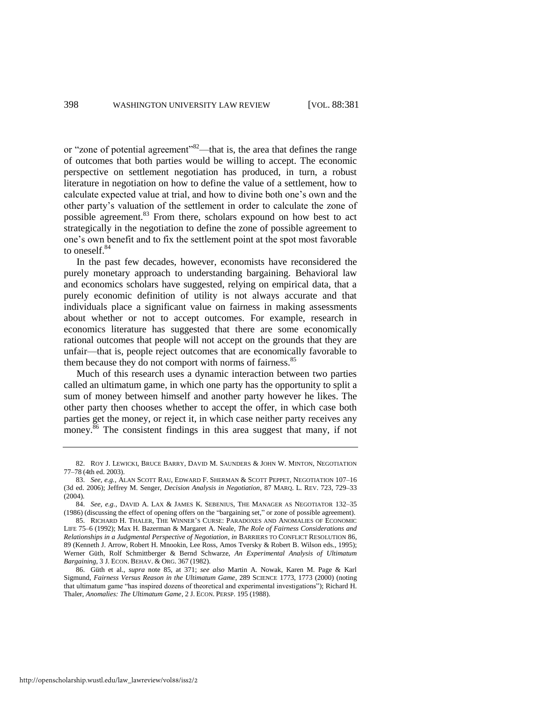<span id="page-18-1"></span>or "zone of potential agreement"<sup>82</sup>—that is, the area that defines the range of outcomes that both parties would be willing to accept. The economic perspective on settlement negotiation has produced, in turn, a robust literature in negotiation on how to define the value of a settlement, how to calculate expected value at trial, and how to divine both one's own and the other party's valuation of the settlement in order to calculate the zone of possible agreement.<sup>83</sup> From there, scholars expound on how best to act strategically in the negotiation to define the zone of possible agreement to one's own benefit and to fix the settlement point at the spot most favorable to oneself.<sup>84</sup>

In the past few decades, however, economists have reconsidered the purely monetary approach to understanding bargaining. Behavioral law and economics scholars have suggested, relying on empirical data, that a purely economic definition of utility is not always accurate and that individuals place a significant value on fairness in making assessments about whether or not to accept outcomes. For example, research in economics literature has suggested that there are some economically rational outcomes that people will not accept on the grounds that they are unfair—that is, people reject outcomes that are economically favorable to them because they do not comport with norms of fairness.<sup>85</sup>

<span id="page-18-0"></span>Much of this research uses a dynamic interaction between two parties called an ultimatum game, in which one party has the opportunity to split a sum of money between himself and another party however he likes. The other party then chooses whether to accept the offer, in which case both parties get the money, or reject it, in which case neither party receives any money.<sup>86</sup> The consistent findings in this area suggest that many, if not

http://openscholarship.wustl.edu/law\_lawreview/vol88/iss2/2

<sup>82.</sup> ROY J. LEWICKI, BRUCE BARRY, DAVID M. SAUNDERS & JOHN W. MINTON, NEGOTIATION 77–78 (4th ed. 2003).

<sup>83.</sup> *See, e.g.*, ALAN SCOTT RAU, EDWARD F. SHERMAN & SCOTT PEPPET, NEGOTIATION 107–16 (3d ed. 2006); Jeffrey M. Senger, *Decision Analysis in Negotiation*, 87 MARQ. L. REV. 723, 729–33 (2004).

<sup>84.</sup> *See, e.g.*, DAVID A. LAX & JAMES K. SEBENIUS, THE MANAGER AS NEGOTIATOR 132–35 (1986) (discussing the effect of opening offers on the "bargaining set," or zone of possible agreement).

<sup>85.</sup> RICHARD H. THALER, THE WINNER'S CURSE: PARADOXES AND ANOMALIES OF ECONOMIC LIFE 75–6 (1992); Max H. Bazerman & Margaret A. Neale, *The Role of Fairness Considerations and Relationships in a Judgmental Perspective of Negotiation*, *in* BARRIERS TO CONFLICT RESOLUTION 86, 89 (Kenneth J. Arrow, Robert H. Mnookin, Lee Ross, Amos Tversky & Robert B. Wilson eds., 1995); Werner Güth, Rolf Schmittberger & Bernd Schwarze, *An Experimental Analysis of Ultimatum Bargaining*, 3 J. ECON. BEHAV. & ORG. 367 (1982).

<sup>86.</sup> Güth et al., *supra* note [85,](#page-18-0) at 371; *see also* Martin A. Nowak, Karen M. Page & Karl Sigmund, *Fairness Versus Reason in the Ultimatum Game*, 289 SCIENCE 1773, 1773 (2000) (noting that ultimatum game "has inspired dozens of theoretical and experimental investigations"); Richard H. Thaler, *Anomalies: The Ultimatum Game*, 2 J. ECON. PERSP. 195 (1988).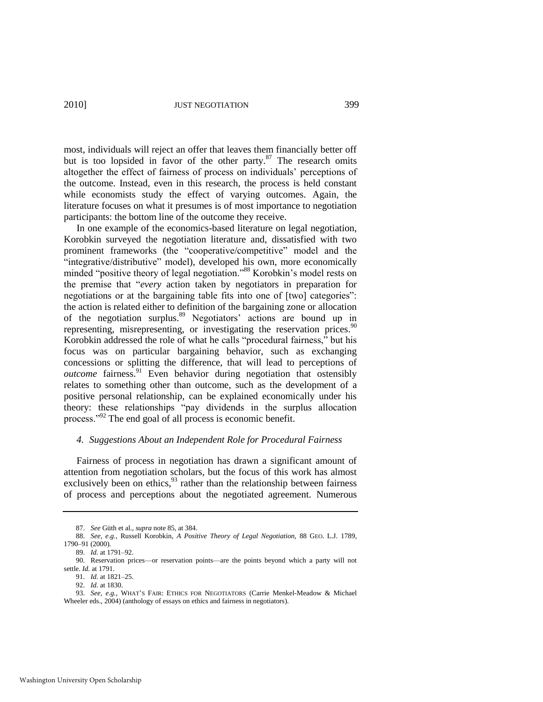<span id="page-19-1"></span>most, individuals will reject an offer that leaves them financially better off but is too lopsided in favor of the other party. $87$  The research omits altogether the effect of fairness of process on individuals' perceptions of the outcome. Instead, even in this research, the process is held constant while economists study the effect of varying outcomes. Again, the literature focuses on what it presumes is of most importance to negotiation participants: the bottom line of the outcome they receive.

<span id="page-19-0"></span>In one example of the economics-based literature on legal negotiation, Korobkin surveyed the negotiation literature and, dissatisfied with two prominent frameworks (the "cooperative/competitive" model and the "integrative/distributive" model), developed his own, more economically minded "positive theory of legal negotiation."<sup>88</sup> Korobkin's model rests on the premise that "*every* action taken by negotiators in preparation for negotiations or at the bargaining table fits into one of [two] categories": the action is related either to definition of the bargaining zone or allocation of the negotiation surplus.<sup>89</sup> Negotiators' actions are bound up in representing, misrepresenting, or investigating the reservation prices.<sup>90</sup> Korobkin addressed the role of what he calls "procedural fairness," but his focus was on particular bargaining behavior, such as exchanging concessions or splitting the difference, that will lead to perceptions of *outcome* fairness.<sup>91</sup> Even behavior during negotiation that ostensibly relates to something other than outcome, such as the development of a positive personal relationship, can be explained economically under his theory: these relationships "pay dividends in the surplus allocation process."<sup>92</sup> The end goal of all process is economic benefit.

## *4. Suggestions About an Independent Role for Procedural Fairness*

Fairness of process in negotiation has drawn a significant amount of attention from negotiation scholars, but the focus of this work has almost exclusively been on ethics,  $93$  rather than the relationship between fairness of process and perceptions about the negotiated agreement. Numerous

<sup>87.</sup> *See* Güth et al., *supra* not[e 85,](#page-18-0) at 384.

<sup>88.</sup> *See, e.g.*, Russell Korobkin, *A Positive Theory of Legal Negotiation,* 88 GEO. L.J. 1789, 1790–91 (2000).

<sup>89.</sup> *Id.* at 1791–92.

<sup>90.</sup> Reservation prices—or reservation points—are the points beyond which a party will not settle. *Id.* at 1791.

<sup>91.</sup> *Id.* at 1821–25.

<sup>92.</sup> *Id.* at 1830.

<sup>93.</sup> *See, e.g.*, WHAT'S FAIR: ETHICS FOR NEGOTIATORS (Carrie Menkel-Meadow & Michael Wheeler eds., 2004) (anthology of essays on ethics and fairness in negotiators).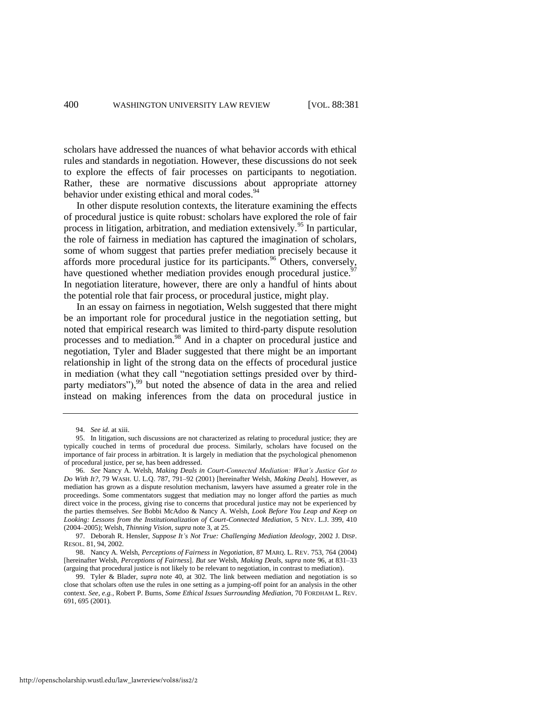scholars have addressed the nuances of what behavior accords with ethical rules and standards in negotiation. However, these discussions do not seek to explore the effects of fair processes on participants to negotiation. Rather, these are normative discussions about appropriate attorney behavior under existing ethical and moral codes.<sup>94</sup>

In other dispute resolution contexts, the literature examining the effects of procedural justice is quite robust: scholars have explored the role of fair process in litigation, arbitration, and mediation extensively.<sup>95</sup> In particular, the role of fairness in mediation has captured the imagination of scholars, some of whom suggest that parties prefer mediation precisely because it affords more procedural justice for its participants.<sup>96</sup> Others, conversely, have questioned whether mediation provides enough procedural justice.<sup>9</sup> In negotiation literature, however, there are only a handful of hints about the potential role that fair process, or procedural justice, might play.

<span id="page-20-2"></span><span id="page-20-0"></span>In an essay on fairness in negotiation, Welsh suggested that there might be an important role for procedural justice in the negotiation setting, but noted that empirical research was limited to third-party dispute resolution processes and to mediation.<sup>98</sup> And in a chapter on procedural justice and negotiation, Tyler and Blader suggested that there might be an important relationship in light of the strong data on the effects of procedural justice in mediation (what they call "negotiation settings presided over by thirdparty mediators"), $99$  but noted the absence of data in the area and relied instead on making inferences from the data on procedural justice in

<span id="page-20-1"></span><sup>94.</sup> *See id.* at xiii.

<sup>95.</sup> In litigation, such discussions are not characterized as relating to procedural justice; they are typically couched in terms of procedural due process. Similarly, scholars have focused on the importance of fair process in arbitration. It is largely in mediation that the psychological phenomenon of procedural justice, per se, has been addressed.

<sup>96.</sup> *See* Nancy A. Welsh, *Making Deals in Court-Connected Mediation: What's Justice Got to Do With It?*, 79 WASH. U. L.Q. 787, 791–92 (2001) [hereinafter Welsh, *Making Deals*]. However, as mediation has grown as a dispute resolution mechanism, lawyers have assumed a greater role in the proceedings. Some commentators suggest that mediation may no longer afford the parties as much direct voice in the process, giving rise to concerns that procedural justice may not be experienced by the parties themselves. *See* Bobbi McAdoo & Nancy A. Welsh, *Look Before You Leap and Keep on Looking: Lessons from the Institutionalization of Court-Connected Mediation*, 5 NEV. L.J. 399, 410 (2004–2005); Welsh, *Thinning Vision*, *supra* not[e 3,](#page-3-0) at 25.

<sup>97.</sup> Deborah R. Hensler, *Suppose It's Not True: Challenging Mediation Ideology*, 2002 J. DISP. RESOL. 81, 94, 2002.

<sup>98.</sup> Nancy A. Welsh, *Perceptions of Fairness in Negotiation*, 87 MARQ. L. REV. 753, 764 (2004) [hereinafter Welsh, *Perceptions of Fairness*]. *But see* Welsh, *Making Deals*, *supra* note [96,](#page-20-0) at 831–33 (arguing that procedural justice is not likely to be relevant to negotiation, in contrast to mediation).

<sup>99.</sup> Tyler & Blader, *supra* note [40,](#page-11-0) at 302. The link between mediation and negotiation is so close that scholars often use the rules in one setting as a jumping-off point for an analysis in the other context. *See, e.g.*, Robert P. Burns, *Some Ethical Issues Surrounding Mediation*, 70 FORDHAM L. REV. 691, 695 (2001).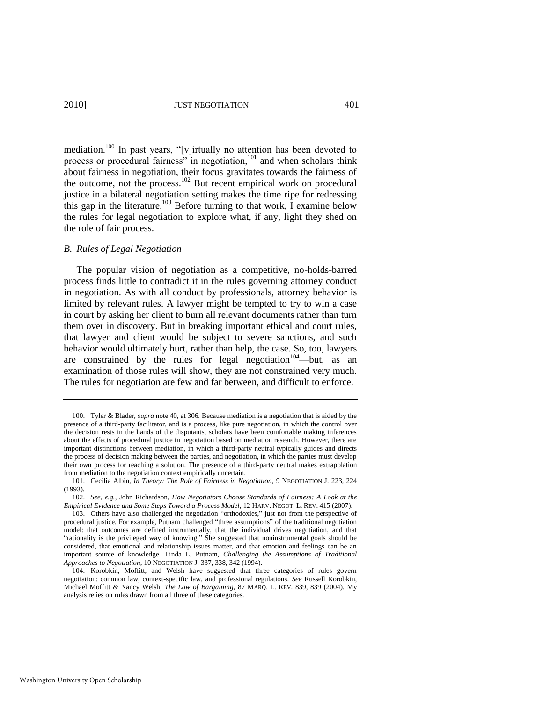mediation.<sup>100</sup> In past years, "[v]irtually no attention has been devoted to process or procedural fairness" in negotiation,<sup>101</sup> and when scholars think about fairness in negotiation, their focus gravitates towards the fairness of the outcome, not the process.<sup>102</sup> But recent empirical work on procedural justice in a bilateral negotiation setting makes the time ripe for redressing this gap in the literature.<sup>103</sup> Before turning to that work, I examine below the rules for legal negotiation to explore what, if any, light they shed on the role of fair process.

#### *B. Rules of Legal Negotiation*

The popular vision of negotiation as a competitive, no-holds-barred process finds little to contradict it in the rules governing attorney conduct in negotiation. As with all conduct by professionals, attorney behavior is limited by relevant rules. A lawyer might be tempted to try to win a case in court by asking her client to burn all relevant documents rather than turn them over in discovery. But in breaking important ethical and court rules, that lawyer and client would be subject to severe sanctions, and such behavior would ultimately hurt, rather than help, the case. So, too, lawyers are constrained by the rules for legal negotiation<sup>104</sup>—but, as an examination of those rules will show, they are not constrained very much. The rules for negotiation are few and far between, and difficult to enforce.

<span id="page-21-0"></span><sup>100.</sup> Tyler & Blader, *supra* not[e 40,](#page-11-0) at 306. Because mediation is a negotiation that is aided by the presence of a third-party facilitator, and is a process, like pure negotiation, in which the control over the decision rests in the hands of the disputants, scholars have been comfortable making inferences about the effects of procedural justice in negotiation based on mediation research. However, there are important distinctions between mediation, in which a third-party neutral typically guides and directs the process of decision making between the parties, and negotiation, in which the parties must develop their own process for reaching a solution. The presence of a third-party neutral makes extrapolation from mediation to the negotiation context empirically uncertain.

<sup>101.</sup> Cecilia Albin, *In Theory: The Role of Fairness in Negotiation*, 9 NEGOTIATION J. 223, 224 (1993).

<sup>102.</sup> *See, e.g.*, John Richardson, *How Negotiators Choose Standards of Fairness: A Look at the Empirical Evidence and Some Steps Toward a Process Model*, 12 HARV. NEGOT. L. REV. 415 (2007).

<sup>103.</sup> Others have also challenged the negotiation "orthodoxies," just not from the perspective of procedural justice. For example, Putnam challenged "three assumptions" of the traditional negotiation model: that outcomes are defined instrumentally, that the individual drives negotiation, and that ―rationality is the privileged way of knowing.‖ She suggested that noninstrumental goals should be considered, that emotional and relationship issues matter, and that emotion and feelings can be an important source of knowledge. Linda L. Putnam, *Challenging the Assumptions of Traditional Approaches to Negotiation*, 10 NEGOTIATION J. 337, 338, 342 (1994).

<sup>104.</sup> Korobkin, Moffitt, and Welsh have suggested that three categories of rules govern negotiation: common law, context-specific law, and professional regulations. *See* Russell Korobkin, Michael Moffitt & Nancy Welsh, *The Law of Bargaining*, 87 MARQ. L. REV. 839, 839 (2004). My analysis relies on rules drawn from all three of these categories.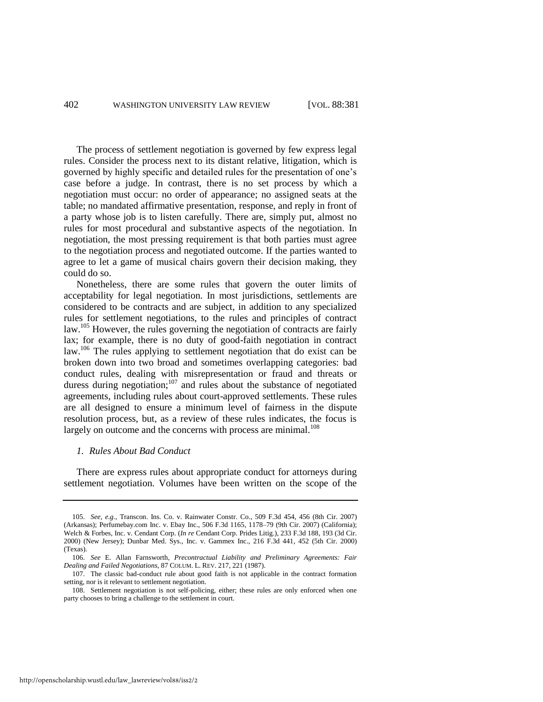The process of settlement negotiation is governed by few express legal rules. Consider the process next to its distant relative, litigation, which is governed by highly specific and detailed rules for the presentation of one's case before a judge. In contrast, there is no set process by which a negotiation must occur: no order of appearance; no assigned seats at the table; no mandated affirmative presentation, response, and reply in front of a party whose job is to listen carefully. There are, simply put, almost no rules for most procedural and substantive aspects of the negotiation. In negotiation, the most pressing requirement is that both parties must agree to the negotiation process and negotiated outcome. If the parties wanted to agree to let a game of musical chairs govern their decision making, they could do so.

Nonetheless, there are some rules that govern the outer limits of acceptability for legal negotiation. In most jurisdictions, settlements are considered to be contracts and are subject, in addition to any specialized rules for settlement negotiations, to the rules and principles of contract law.<sup>105</sup> However, the rules governing the negotiation of contracts are fairly lax; for example, there is no duty of good-faith negotiation in contract law.<sup>106</sup> The rules applying to settlement negotiation that do exist can be broken down into two broad and sometimes overlapping categories: bad conduct rules, dealing with misrepresentation or fraud and threats or duress during negotiation; $107$  and rules about the substance of negotiated agreements, including rules about court-approved settlements. These rules are all designed to ensure a minimum level of fairness in the dispute resolution process, but, as a review of these rules indicates, the focus is largely on outcome and the concerns with process are minimal.<sup>108</sup>

## *1. Rules About Bad Conduct*

There are express rules about appropriate conduct for attorneys during settlement negotiation. Volumes have been written on the scope of the

<sup>105.</sup> *See, e.g.*, Transcon. Ins. Co. v. Rainwater Constr. Co., 509 F.3d 454, 456 (8th Cir. 2007) (Arkansas); Perfumebay.com Inc. v. Ebay Inc., 506 F.3d 1165, 1178–79 (9th Cir. 2007) (California); Welch & Forbes, Inc. v. Cendant Corp. (*In re* Cendant Corp. Prides Litig.), 233 F.3d 188, 193 (3d Cir. 2000) (New Jersey); Dunbar Med. Sys., Inc. v. Gammex Inc., 216 F.3d 441, 452 (5th Cir. 2000) (Texas).

<sup>106.</sup> *See* E. Allan Farnsworth, *Precontractual Liability and Preliminary Agreements: Fair Dealing and Failed Negotiations*, 87 COLUM. L. REV. 217, 221 (1987).

<sup>107.</sup> The classic bad-conduct rule about good faith is not applicable in the contract formation setting, nor is it relevant to settlement negotiation.

<sup>108.</sup> Settlement negotiation is not self-policing, either; these rules are only enforced when one party chooses to bring a challenge to the settlement in court.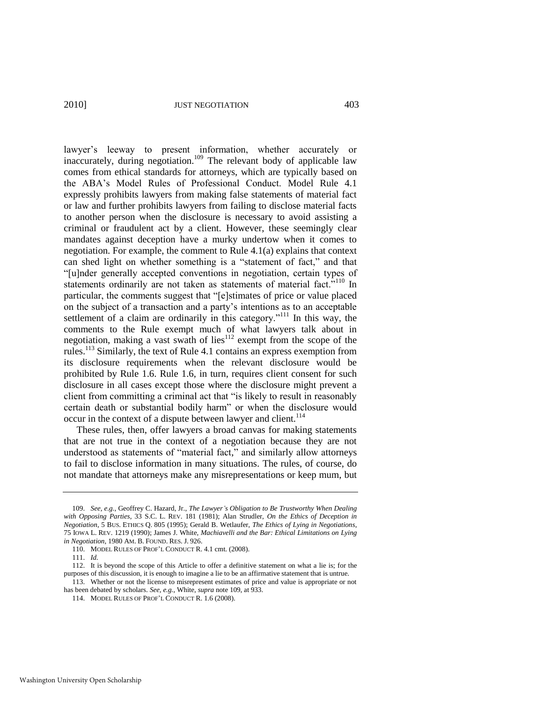<span id="page-23-0"></span>lawyer's leeway to present information, whether accurately or inaccurately, during negotiation.<sup>109</sup> The relevant body of applicable law comes from ethical standards for attorneys, which are typically based on the ABA's Model Rules of Professional Conduct. Model Rule 4.1 expressly prohibits lawyers from making false statements of material fact or law and further prohibits lawyers from failing to disclose material facts to another person when the disclosure is necessary to avoid assisting a criminal or fraudulent act by a client. However, these seemingly clear mandates against deception have a murky undertow when it comes to negotiation. For example, the comment to Rule 4.1(a) explains that context can shed light on whether something is a "statement of fact," and that ―[u]nder generally accepted conventions in negotiation, certain types of statements ordinarily are not taken as statements of material fact."<sup>110</sup> In particular, the comments suggest that "[e]stimates of price or value placed on the subject of a transaction and a party's intentions as to an acceptable settlement of a claim are ordinarily in this category."<sup>111</sup> In this way, the comments to the Rule exempt much of what lawyers talk about in negotiation, making a vast swath of lies<sup>112</sup> exempt from the scope of the rules.<sup>113</sup> Similarly, the text of Rule 4.1 contains an express exemption from its disclosure requirements when the relevant disclosure would be prohibited by Rule 1.6. Rule 1.6, in turn, requires client consent for such disclosure in all cases except those where the disclosure might prevent a client from committing a criminal act that "is likely to result in reasonably certain death or substantial bodily harm" or when the disclosure would occur in the context of a dispute between lawyer and client.<sup>114</sup>

These rules, then, offer lawyers a broad canvas for making statements that are not true in the context of a negotiation because they are not understood as statements of "material fact," and similarly allow attorneys to fail to disclose information in many situations. The rules, of course, do not mandate that attorneys make any misrepresentations or keep mum, but

<sup>109.</sup> *See, e.g.*, Geoffrey C. Hazard, Jr., *The Lawyer's Obligation to Be Trustworthy When Dealing with Opposing Parties*, 33 S.C. L. REV. 181 (1981); Alan Strudler, *On the Ethics of Deception in Negotiation*, 5 BUS. ETHICS Q. 805 (1995); Gerald B. Wetlaufer, *The Ethics of Lying in Negotiations*, 75 IOWA L. REV. 1219 (1990); James J. White, *Machiavelli and the Bar: Ethical Limitations on Lying in Negotiation*, 1980 AM. B. FOUND. RES. J. 926.

<sup>110.</sup> MODEL RULES OF PROF'L CONDUCT R. 4.1 cmt. (2008).

<sup>111.</sup> *Id.* 

<sup>112.</sup> It is beyond the scope of this Article to offer a definitive statement on what a lie is; for the purposes of this discussion, it is enough to imagine a lie to be an affirmative statement that is untrue.

<sup>113.</sup> Whether or not the license to misrepresent estimates of price and value is appropriate or not has been debated by scholars. *See, e.g.*, White, *supra* not[e 109,](#page-23-0) at 933.

<sup>114.</sup> MODEL RULES OF PROF'L CONDUCT R. 1.6 (2008).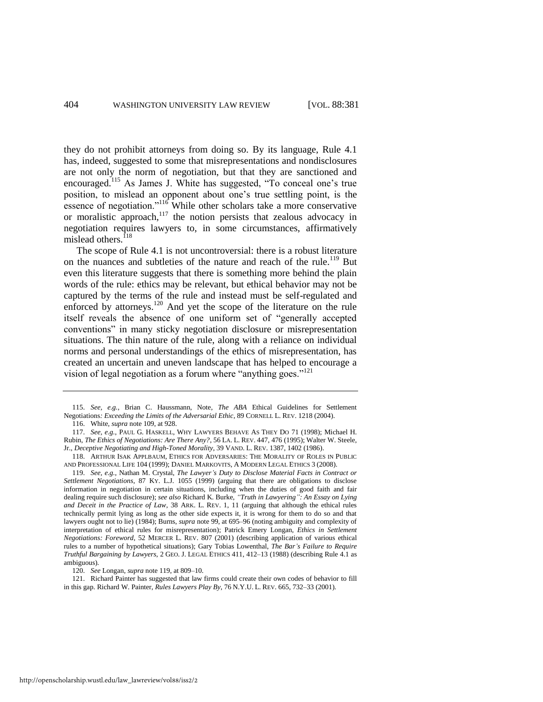they do not prohibit attorneys from doing so. By its language, Rule 4.1 has, indeed, suggested to some that misrepresentations and nondisclosures are not only the norm of negotiation, but that they are sanctioned and encouraged.<sup>115</sup> As James J. White has suggested, "To conceal one's true position, to mislead an opponent about one's true settling point, is the essence of negotiation."<sup>116</sup> While other scholars take a more conservative or moralistic approach, $117$  the notion persists that zealous advocacy in negotiation requires lawyers to, in some circumstances, affirmatively mislead others.<sup>118</sup>

<span id="page-24-0"></span>The scope of Rule 4.1 is not uncontroversial: there is a robust literature on the nuances and subtleties of the nature and reach of the rule.<sup>119</sup> But even this literature suggests that there is something more behind the plain words of the rule: ethics may be relevant, but ethical behavior may not be captured by the terms of the rule and instead must be self-regulated and enforced by attorneys.<sup>120</sup> And yet the scope of the literature on the rule itself reveals the absence of one uniform set of "generally accepted conventions" in many sticky negotiation disclosure or misrepresentation situations. The thin nature of the rule, along with a reliance on individual norms and personal understandings of the ethics of misrepresentation, has created an uncertain and uneven landscape that has helped to encourage a vision of legal negotiation as a forum where "anything goes."<sup>121</sup>

120. *See* Longan, *supra* note [119,](#page-24-0) at 809–10.

121. Richard Painter has suggested that law firms could create their own codes of behavior to fill in this gap. Richard W. Painter, *Rules Lawyers Play By*, 76 N.Y.U. L. REV. 665, 732–33 (2001).

<sup>115.</sup> *See, e.g.*, Brian C. Haussmann, Note, *The ABA* Ethical Guidelines for Settlement Negotiations*: Exceeding the Limits of the Adversarial Ethic*, 89 CORNELL L. REV. 1218 (2004).

<sup>116.</sup> White, *supra* note [109,](#page-23-0) at 928.

<sup>117.</sup> *See, e.g.*, PAUL G. HASKELL, WHY LAWYERS BEHAVE AS THEY DO 71 (1998); Michael H. Rubin, *The Ethics of Negotiations: Are There Any?*, 56 LA. L. REV. 447, 476 (1995); Walter W. Steele, Jr., *Deceptive Negotiating and High-Toned Morality*, 39 VAND. L. REV. 1387, 1402 (1986).

<sup>118.</sup> ARTHUR ISAK APPLBAUM, ETHICS FOR ADVERSARIES: THE MORALITY OF ROLES IN PUBLIC AND PROFESSIONAL LIFE 104 (1999); DANIEL MARKOVITS, A MODERN LEGAL ETHICS 3 (2008).

<sup>119.</sup> *See, e.g.*, Nathan M. Crystal, *The Lawyer's Duty to Disclose Material Facts in Contract or Settlement Negotiations*, 87 KY. L.J. 1055 (1999) (arguing that there are obligations to disclose information in negotiation in certain situations, including when the duties of good faith and fair dealing require such disclosure); *see also* Richard K. Burke, *"Truth in Lawyering": An Essay on Lying and Deceit in the Practice of Law*, 38 ARK. L. REV. 1, 11 (arguing that although the ethical rules technically permit lying as long as the other side expects it, it is wrong for them to do so and that lawyers ought not to lie) (1984); Burns, *supra* not[e 99,](#page-20-1) at 695–96 (noting ambiguity and complexity of interpretation of ethical rules for misrepresentation); Patrick Emery Longan, *Ethics in Settlement Negotiations: Foreword*, 52 MERCER L. REV. 807 (2001) (describing application of various ethical rules to a number of hypothetical situations); Gary Tobias Lowenthal, *The Bar's Failure to Require Truthful Bargaining by Lawyers*, 2 GEO. J. LEGAL ETHICS 411, 412–13 (1988) (describing Rule 4.1 as ambiguous).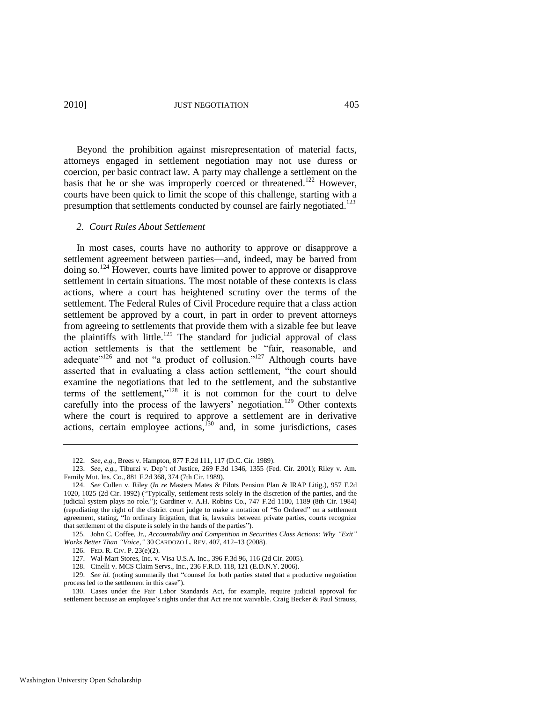## 2010] JUST NEGOTIATION 405

Beyond the prohibition against misrepresentation of material facts, attorneys engaged in settlement negotiation may not use duress or coercion, per basic contract law. A party may challenge a settlement on the basis that he or she was improperly coerced or threatened.<sup>122</sup> However, courts have been quick to limit the scope of this challenge, starting with a presumption that settlements conducted by counsel are fairly negotiated.<sup>123</sup>

#### *2. Court Rules About Settlement*

In most cases, courts have no authority to approve or disapprove a settlement agreement between parties—and, indeed, may be barred from doing so.<sup>124</sup> However, courts have limited power to approve or disapprove settlement in certain situations. The most notable of these contexts is class actions, where a court has heightened scrutiny over the terms of the settlement. The Federal Rules of Civil Procedure require that a class action settlement be approved by a court, in part in order to prevent attorneys from agreeing to settlements that provide them with a sizable fee but leave the plaintiffs with little.<sup>125</sup> The standard for judicial approval of class action settlements is that the settlement be "fair, reasonable, and adequate"<sup>126</sup> and not "a product of collusion."<sup>127</sup> Although courts have asserted that in evaluating a class action settlement, "the court should examine the negotiations that led to the settlement, and the substantive terms of the settlement,"<sup>128</sup> it is not common for the court to delve carefully into the process of the lawyers' negotiation.<sup>129</sup> Other contexts where the court is required to approve a settlement are in derivative actions, certain employee actions, $130$  and, in some jurisdictions, cases

<sup>122.</sup> *See, e.g.*, Brees v. Hampton, 877 F.2d 111, 117 (D.C. Cir. 1989).

<sup>123.</sup> *See, e.g.*, Tiburzi v. Dep't of Justice, 269 F.3d 1346, 1355 (Fed. Cir. 2001); Riley v. Am. Family Mut. Ins. Co., 881 F.2d 368, 374 (7th Cir. 1989).

<sup>124.</sup> *See* Cullen v. Riley (*In re* Masters Mates & Pilots Pension Plan & IRAP Litig.), 957 F.2d 1020, 1025 (2d Cir. 1992) ("Typically, settlement rests solely in the discretion of the parties, and the judicial system plays no role."); Gardiner v. A.H. Robins Co., 747 F.2d 1180, 1189 (8th Cir. 1984) (repudiating the right of the district court judge to make a notation of "So Ordered" on a settlement agreement, stating, "In ordinary litigation, that is, lawsuits between private parties, courts recognize that settlement of the dispute is solely in the hands of the parties").

<sup>125.</sup> John C. Coffee, Jr., *Accountability and Competition in Securities Class Actions: Why "Exit" Works Better Than "Voice*,*"* 30 CARDOZO L. REV. 407, 412–13 (2008).

<sup>126.</sup> FED. R. CIV. P. 23(e)(2).

<sup>127.</sup> Wal-Mart Stores, Inc. v. Visa U.S.A. Inc., 396 F.3d 96, 116 (2d Cir. 2005).

<sup>128.</sup> Cinelli v. MCS Claim Servs., Inc., 236 F.R.D. 118, 121 (E.D.N.Y. 2006).

<sup>129.</sup> *See id.* (noting summarily that "counsel for both parties stated that a productive negotiation process led to the settlement in this case").

<sup>130.</sup> Cases under the Fair Labor Standards Act, for example, require judicial approval for settlement because an employee's rights under that Act are not waivable. Craig Becker & Paul Strauss,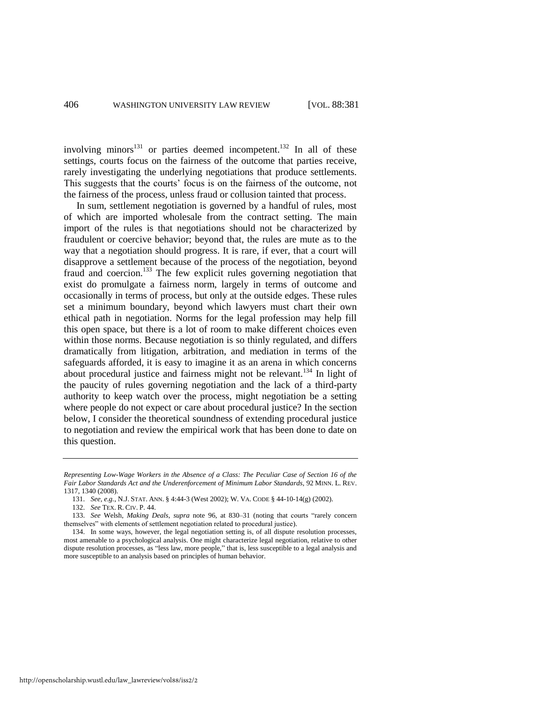involving minors $131$  or parties deemed incompetent.<sup>132</sup> In all of these settings, courts focus on the fairness of the outcome that parties receive, rarely investigating the underlying negotiations that produce settlements. This suggests that the courts' focus is on the fairness of the outcome, not the fairness of the process, unless fraud or collusion tainted that process.

In sum, settlement negotiation is governed by a handful of rules, most of which are imported wholesale from the contract setting. The main import of the rules is that negotiations should not be characterized by fraudulent or coercive behavior; beyond that, the rules are mute as to the way that a negotiation should progress. It is rare, if ever, that a court will disapprove a settlement because of the process of the negotiation, beyond fraud and coercion.<sup>133</sup> The few explicit rules governing negotiation that exist do promulgate a fairness norm, largely in terms of outcome and occasionally in terms of process, but only at the outside edges. These rules set a minimum boundary, beyond which lawyers must chart their own ethical path in negotiation. Norms for the legal profession may help fill this open space, but there is a lot of room to make different choices even within those norms. Because negotiation is so thinly regulated, and differs dramatically from litigation, arbitration, and mediation in terms of the safeguards afforded, it is easy to imagine it as an arena in which concerns about procedural justice and fairness might not be relevant.<sup>134</sup> In light of the paucity of rules governing negotiation and the lack of a third-party authority to keep watch over the process, might negotiation be a setting where people do not expect or care about procedural justice? In the section below, I consider the theoretical soundness of extending procedural justice to negotiation and review the empirical work that has been done to date on this question.

*Representing Low-Wage Workers in the Absence of a Class: The Peculiar Case of Section 16 of the Fair Labor Standards Act and the Underenforcement of Minimum Labor Standards*, 92 MINN. L. REV. 1317, 1340 (2008).

<sup>131.</sup> *See, e.g.*, N.J. STAT. ANN. § 4:44-3 (West 2002); W. VA. CODE § 44-10-14(g) (2002).

<sup>132.</sup> *See* TEX. R. CIV. P. 44.

<sup>133.</sup> See Welsh, *Making Deals*, *supra* note [96,](#page-20-0) at 830–31 (noting that courts "rarely concern themselves" with elements of settlement negotiation related to procedural justice).

<sup>134.</sup> In some ways, however, the legal negotiation setting is, of all dispute resolution processes, most amenable to a psychological analysis. One might characterize legal negotiation, relative to other dispute resolution processes, as "less law, more people," that is, less susceptible to a legal analysis and more susceptible to an analysis based on principles of human behavior.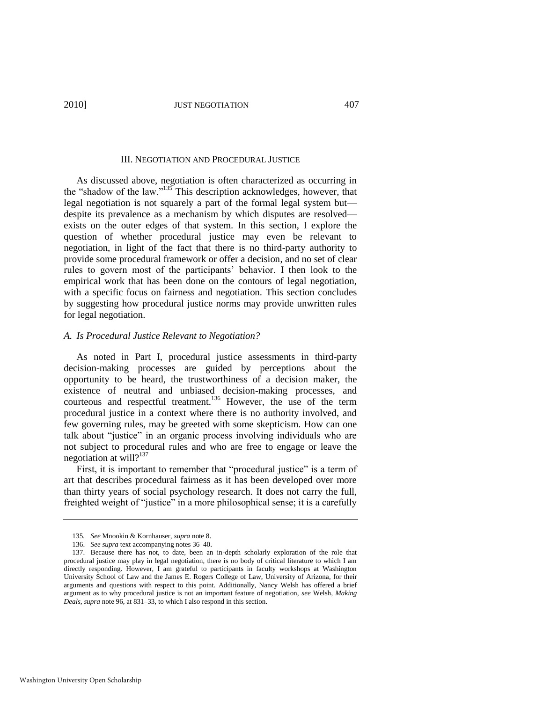#### III. NEGOTIATION AND PROCEDURAL JUSTICE

As discussed above, negotiation is often characterized as occurring in the "shadow of the law." $135$  This description acknowledges, however, that legal negotiation is not squarely a part of the formal legal system but despite its prevalence as a mechanism by which disputes are resolved exists on the outer edges of that system. In this section, I explore the question of whether procedural justice may even be relevant to negotiation, in light of the fact that there is no third-party authority to provide some procedural framework or offer a decision, and no set of clear rules to govern most of the participants' behavior. I then look to the empirical work that has been done on the contours of legal negotiation, with a specific focus on fairness and negotiation. This section concludes by suggesting how procedural justice norms may provide unwritten rules for legal negotiation.

#### *A. Is Procedural Justice Relevant to Negotiation?*

As noted in Part I, procedural justice assessments in third-party decision-making processes are guided by perceptions about the opportunity to be heard, the trustworthiness of a decision maker, the existence of neutral and unbiased decision-making processes, and courteous and respectful treatment.<sup>136</sup> However, the use of the term procedural justice in a context where there is no authority involved, and few governing rules, may be greeted with some skepticism. How can one talk about "justice" in an organic process involving individuals who are not subject to procedural rules and who are free to engage or leave the negotiation at will? $137$ 

First, it is important to remember that "procedural justice" is a term of art that describes procedural fairness as it has been developed over more than thirty years of social psychology research. It does not carry the full, freighted weight of "justice" in a more philosophical sense; it is a carefully

<sup>135</sup>*. See* Mnookin & Kornhauser, *supra* not[e 8.](#page-4-1)

<sup>136.</sup> *See supra* text accompanying note[s 36](#page-10-0)[–40.](#page-11-0)

<sup>137.</sup> Because there has not, to date, been an in-depth scholarly exploration of the role that procedural justice may play in legal negotiation, there is no body of critical literature to which I am directly responding. However, I am grateful to participants in faculty workshops at Washington University School of Law and the James E. Rogers College of Law, University of Arizona, for their arguments and questions with respect to this point. Additionally, Nancy Welsh has offered a brief argument as to why procedural justice is not an important feature of negotiation, *see* Welsh, *Making Deals*, *supra* not[e 96,](#page-20-0) at 831–33, to which I also respond in this section.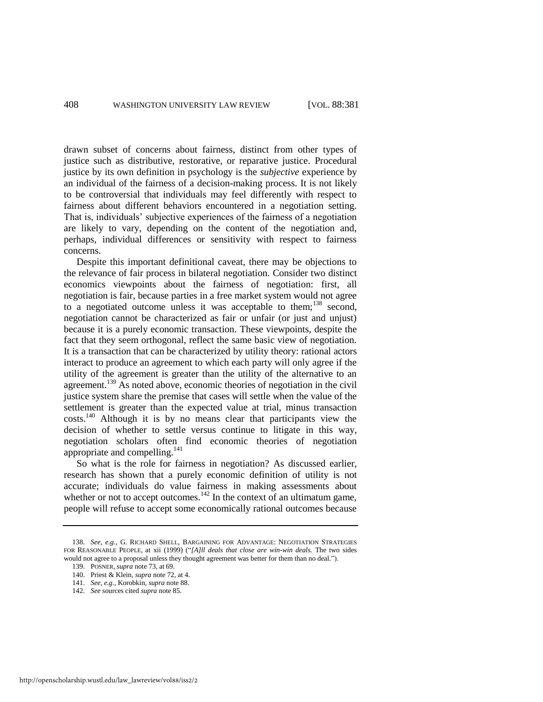drawn subset of concerns about fairness, distinct from other types of justice such as distributive, restorative, or reparative justice. Procedural justice by its own definition in psychology is the *subjective* experience by an individual of the fairness of a decision-making process. It is not likely to be controversial that individuals may feel differently with respect to fairness about different behaviors encountered in a negotiation setting. That is, individuals' subjective experiences of the fairness of a negotiation are likely to vary, depending on the content of the negotiation and, perhaps, individual differences or sensitivity with respect to fairness concerns.

<span id="page-28-0"></span>Despite this important definitional caveat, there may be objections to the relevance of fair process in bilateral negotiation. Consider two distinct economics viewpoints about the fairness of negotiation: first, all negotiation is fair, because parties in a free market system would not agree to a negotiated outcome unless it was acceptable to them; $^{138}$  second, negotiation cannot be characterized as fair or unfair (or just and unjust) because it is a purely economic transaction. These viewpoints, despite the fact that they seem orthogonal, reflect the same basic view of negotiation. It is a transaction that can be characterized by utility theory: rational actors interact to produce an agreement to which each party will only agree if the utility of the agreement is greater than the utility of the alternative to an agreement.<sup>139</sup> As noted above, economic theories of negotiation in the civil justice system share the premise that cases will settle when the value of the settlement is greater than the expected value at trial, minus transaction costs.<sup>140</sup> Although it is by no means clear that participants view the decision of whether to settle versus continue to litigate in this way, negotiation scholars often find economic theories of negotiation appropriate and compelling.<sup>141</sup>

So what is the role for fairness in negotiation? As discussed earlier, research has shown that a purely economic definition of utility is not accurate; individuals do value fairness in making assessments about whether or not to accept outcomes.<sup>142</sup> In the context of an ultimatum game, people will refuse to accept some economically rational outcomes because

<sup>138.</sup> *See, e.g.*, G. RICHARD SHELL, BARGAINING FOR ADVANTAGE: NEGOTIATION STRATEGIES FOR REASONABLE PEOPLE, at xii (1999) ("[A]ll deals that close are win-win deals. The two sides would not agree to a proposal unless they thought agreement was better for them than no deal.").

<sup>139.</sup> POSNER, *supra* not[e 73,](#page-17-0) at 69.

<sup>140.</sup> Priest & Klein, *supra* not[e 72,](#page-17-1) at 4.

<sup>141.</sup> *See, e.g.*, Korobkin, *supra* not[e 88.](#page-19-0) 

<sup>142.</sup> *See* sources cited *supra* note [85.](#page-18-0)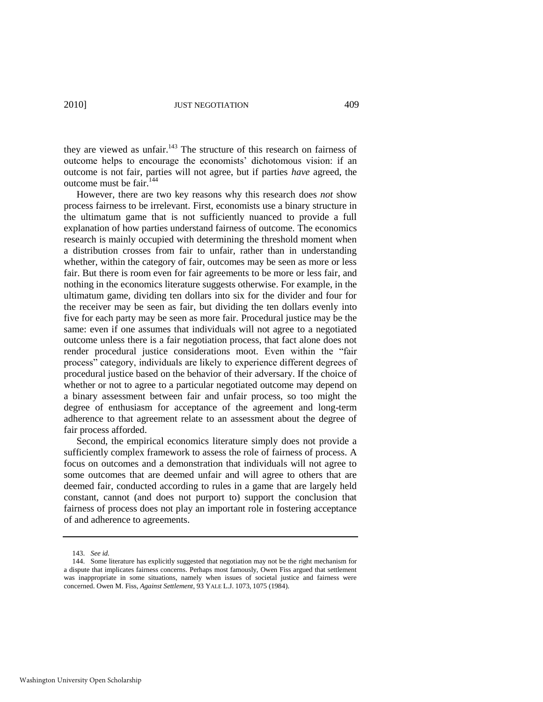they are viewed as unfair.<sup>143</sup> The structure of this research on fairness of outcome helps to encourage the economists' dichotomous vision: if an outcome is not fair, parties will not agree, but if parties *have* agreed, the outcome must be fair.<sup>144</sup>

However, there are two key reasons why this research does *not* show process fairness to be irrelevant. First, economists use a binary structure in the ultimatum game that is not sufficiently nuanced to provide a full explanation of how parties understand fairness of outcome. The economics research is mainly occupied with determining the threshold moment when a distribution crosses from fair to unfair, rather than in understanding whether, within the category of fair, outcomes may be seen as more or less fair. But there is room even for fair agreements to be more or less fair, and nothing in the economics literature suggests otherwise. For example, in the ultimatum game, dividing ten dollars into six for the divider and four for the receiver may be seen as fair, but dividing the ten dollars evenly into five for each party may be seen as more fair. Procedural justice may be the same: even if one assumes that individuals will not agree to a negotiated outcome unless there is a fair negotiation process, that fact alone does not render procedural justice considerations moot. Even within the "fair process‖ category, individuals are likely to experience different degrees of procedural justice based on the behavior of their adversary. If the choice of whether or not to agree to a particular negotiated outcome may depend on a binary assessment between fair and unfair process, so too might the degree of enthusiasm for acceptance of the agreement and long-term adherence to that agreement relate to an assessment about the degree of fair process afforded.

Second, the empirical economics literature simply does not provide a sufficiently complex framework to assess the role of fairness of process. A focus on outcomes and a demonstration that individuals will not agree to some outcomes that are deemed unfair and will agree to others that are deemed fair, conducted according to rules in a game that are largely held constant, cannot (and does not purport to) support the conclusion that fairness of process does not play an important role in fostering acceptance of and adherence to agreements.

<sup>143.</sup> *See id.*

<sup>144.</sup> Some literature has explicitly suggested that negotiation may not be the right mechanism for a dispute that implicates fairness concerns. Perhaps most famously, Owen Fiss argued that settlement was inappropriate in some situations, namely when issues of societal justice and fairness were concerned. Owen M. Fiss, *Against Settlement*, 93 YALE L.J. 1073, 1075 (1984).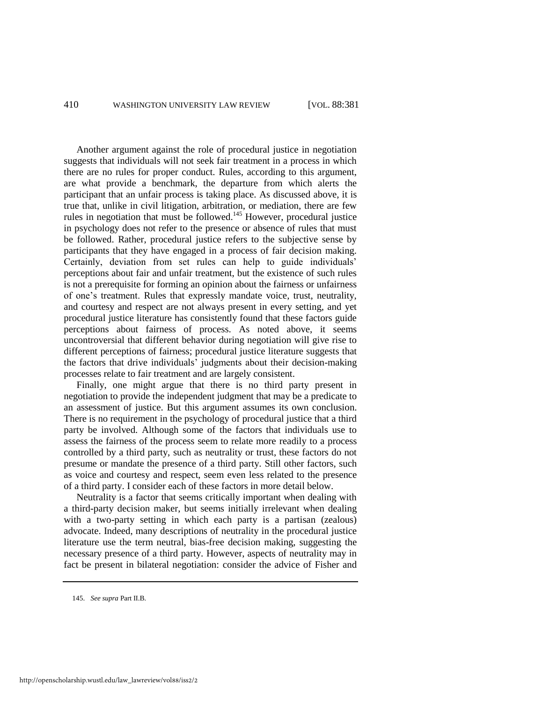Another argument against the role of procedural justice in negotiation suggests that individuals will not seek fair treatment in a process in which there are no rules for proper conduct. Rules, according to this argument, are what provide a benchmark, the departure from which alerts the participant that an unfair process is taking place. As discussed above, it is true that, unlike in civil litigation, arbitration, or mediation, there are few rules in negotiation that must be followed.<sup>145</sup> However, procedural justice in psychology does not refer to the presence or absence of rules that must be followed. Rather, procedural justice refers to the subjective sense by participants that they have engaged in a process of fair decision making. Certainly, deviation from set rules can help to guide individuals' perceptions about fair and unfair treatment, but the existence of such rules is not a prerequisite for forming an opinion about the fairness or unfairness of one's treatment. Rules that expressly mandate voice, trust, neutrality, and courtesy and respect are not always present in every setting, and yet procedural justice literature has consistently found that these factors guide perceptions about fairness of process. As noted above, it seems uncontroversial that different behavior during negotiation will give rise to different perceptions of fairness; procedural justice literature suggests that the factors that drive individuals' judgments about their decision-making processes relate to fair treatment and are largely consistent.

Finally, one might argue that there is no third party present in negotiation to provide the independent judgment that may be a predicate to an assessment of justice. But this argument assumes its own conclusion. There is no requirement in the psychology of procedural justice that a third party be involved. Although some of the factors that individuals use to assess the fairness of the process seem to relate more readily to a process controlled by a third party, such as neutrality or trust, these factors do not presume or mandate the presence of a third party. Still other factors, such as voice and courtesy and respect, seem even less related to the presence of a third party. I consider each of these factors in more detail below.

Neutrality is a factor that seems critically important when dealing with a third-party decision maker, but seems initially irrelevant when dealing with a two-party setting in which each party is a partisan (zealous) advocate. Indeed, many descriptions of neutrality in the procedural justice literature use the term neutral, bias-free decision making, suggesting the necessary presence of a third party. However, aspects of neutrality may in fact be present in bilateral negotiation: consider the advice of Fisher and

<sup>145.</sup> *See supra* Part II.B*.*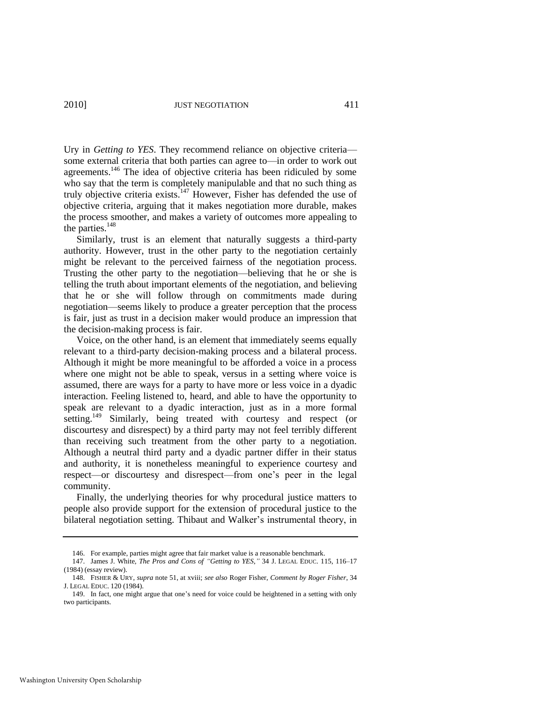Ury in *Getting to YES*. They recommend reliance on objective criteria some external criteria that both parties can agree to—in order to work out agreements.<sup>146</sup> The idea of objective criteria has been ridiculed by some who say that the term is completely manipulable and that no such thing as truly objective criteria exists.<sup>147</sup> However, Fisher has defended the use of objective criteria, arguing that it makes negotiation more durable, makes the process smoother, and makes a variety of outcomes more appealing to the parties.<sup>148</sup>

Similarly, trust is an element that naturally suggests a third-party authority. However, trust in the other party to the negotiation certainly might be relevant to the perceived fairness of the negotiation process. Trusting the other party to the negotiation—believing that he or she is telling the truth about important elements of the negotiation, and believing that he or she will follow through on commitments made during negotiation—seems likely to produce a greater perception that the process is fair, just as trust in a decision maker would produce an impression that the decision-making process is fair.

Voice, on the other hand, is an element that immediately seems equally relevant to a third-party decision-making process and a bilateral process. Although it might be more meaningful to be afforded a voice in a process where one might not be able to speak, versus in a setting where voice is assumed, there are ways for a party to have more or less voice in a dyadic interaction. Feeling listened to, heard, and able to have the opportunity to speak are relevant to a dyadic interaction, just as in a more formal setting.<sup>149</sup> Similarly, being treated with courtesy and respect (or discourtesy and disrespect) by a third party may not feel terribly different than receiving such treatment from the other party to a negotiation. Although a neutral third party and a dyadic partner differ in their status and authority, it is nonetheless meaningful to experience courtesy and respect—or discourtesy and disrespect—from one's peer in the legal community.

Finally, the underlying theories for why procedural justice matters to people also provide support for the extension of procedural justice to the bilateral negotiation setting. Thibaut and Walker's instrumental theory, in

<sup>146.</sup> For example, parties might agree that fair market value is a reasonable benchmark.

<sup>147.</sup> James J. White, *The Pros and Cons of "Getting to YES*,*"* 34 J. LEGAL EDUC. 115, 116–17 (1984) (essay review).

<sup>148.</sup> FISHER & URY, *supra* note [51,](#page-14-0) at xviii; *see also* Roger Fisher, *Comment by Roger Fisher*, 34 J. LEGAL EDUC. 120 (1984).

<sup>149.</sup> In fact, one might argue that one's need for voice could be heightened in a setting with only two participants.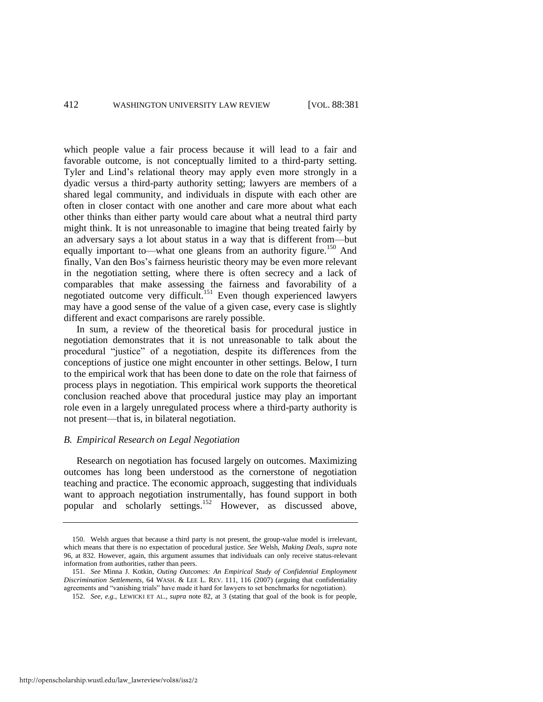which people value a fair process because it will lead to a fair and favorable outcome, is not conceptually limited to a third-party setting. Tyler and Lind's relational theory may apply even more strongly in a dyadic versus a third-party authority setting; lawyers are members of a shared legal community, and individuals in dispute with each other are often in closer contact with one another and care more about what each other thinks than either party would care about what a neutral third party might think. It is not unreasonable to imagine that being treated fairly by an adversary says a lot about status in a way that is different from—but equally important to—what one gleans from an authority figure.<sup>150</sup> And finally, Van den Bos's fairness heuristic theory may be even more relevant in the negotiation setting, where there is often secrecy and a lack of comparables that make assessing the fairness and favorability of a negotiated outcome very difficult.<sup>151</sup> Even though experienced lawyers may have a good sense of the value of a given case, every case is slightly different and exact comparisons are rarely possible.

In sum, a review of the theoretical basis for procedural justice in negotiation demonstrates that it is not unreasonable to talk about the procedural "justice" of a negotiation, despite its differences from the conceptions of justice one might encounter in other settings. Below, I turn to the empirical work that has been done to date on the role that fairness of process plays in negotiation. This empirical work supports the theoretical conclusion reached above that procedural justice may play an important role even in a largely unregulated process where a third-party authority is not present—that is, in bilateral negotiation.

## *B. Empirical Research on Legal Negotiation*

Research on negotiation has focused largely on outcomes. Maximizing outcomes has long been understood as the cornerstone of negotiation teaching and practice. The economic approach, suggesting that individuals want to approach negotiation instrumentally, has found support in both popular and scholarly settings.<sup>152</sup> However, as discussed above,

<sup>150.</sup> Welsh argues that because a third party is not present, the group-value model is irrelevant, which means that there is no expectation of procedural justice. *See* Welsh, *Making Deals*, *supra* note [96,](#page-20-0) at 832. However, again, this argument assumes that individuals can only receive status-relevant information from authorities, rather than peers.

<sup>151.</sup> *See* Minna J. Kotkin, *Outing Outcomes: An Empirical Study of Confidential Employment Discrimination Settlements*, 64 WASH. & LEE L. REV. 111, 116 (2007) (arguing that confidentiality agreements and "vanishing trials" have made it hard for lawyers to set benchmarks for negotiation).

<sup>152.</sup> *See, e.g.*, LEWICKI ET AL., *supra* note [82,](#page-18-1) at 3 (stating that goal of the book is for people,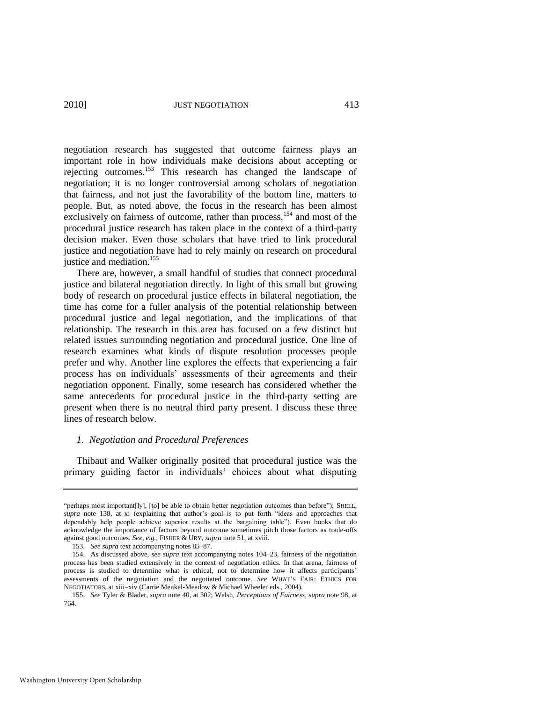negotiation research has suggested that outcome fairness plays an important role in how individuals make decisions about accepting or rejecting outcomes.<sup>153</sup> This research has changed the landscape of negotiation; it is no longer controversial among scholars of negotiation that fairness, and not just the favorability of the bottom line, matters to people. But, as noted above, the focus in the research has been almost exclusively on fairness of outcome, rather than process, <sup>154</sup> and most of the procedural justice research has taken place in the context of a third-party decision maker. Even those scholars that have tried to link procedural justice and negotiation have had to rely mainly on research on procedural justice and mediation.<sup>155</sup>

There are, however, a small handful of studies that connect procedural justice and bilateral negotiation directly. In light of this small but growing body of research on procedural justice effects in bilateral negotiation, the time has come for a fuller analysis of the potential relationship between procedural justice and legal negotiation, and the implications of that relationship. The research in this area has focused on a few distinct but related issues surrounding negotiation and procedural justice. One line of research examines what kinds of dispute resolution processes people prefer and why. Another line explores the effects that experiencing a fair process has on individuals' assessments of their agreements and their negotiation opponent. Finally, some research has considered whether the same antecedents for procedural justice in the third-party setting are present when there is no neutral third party present. I discuss these three lines of research below.

## *1. Negotiation and Procedural Preferences*

Thibaut and Walker originally posited that procedural justice was the primary guiding factor in individuals' choices about what disputing

<sup>&</sup>quot;perhaps most important[ly], [to] be able to obtain better negotiation outcomes than before"); SHELL, supra note [138,](#page-28-0) at xi (explaining that author's goal is to put forth "ideas and approaches that dependably help people achieve superior results at the bargaining table"). Even books that do acknowledge the importance of factors beyond outcome sometimes pitch those factors as trade-offs against good outcomes. *See, e.g.*, FISHER & URY, *supra* not[e 51,](#page-14-0) at xviii.

<sup>153.</sup> *See supra* text accompanying note[s 85](#page-18-0)[–87.](#page-19-1)

<sup>154.</sup> As discussed above, *see supra* text accompanying notes [104–](#page-21-0)23, fairness of the negotiation process has been studied extensively in the context of negotiation ethics. In that arena, fairness of process is studied to determine what is ethical, not to determine how it affects participants' assessments of the negotiation and the negotiated outcome. *See* WHAT'S FAIR: ETHICS FOR NEGOTIATORS, at xiii–xiv (Carrie Menkel-Meadow & Michael Wheeler eds., 2004).

<sup>155.</sup> *See* Tyler & Blader, *supra* not[e 40,](#page-11-0) at 302; Welsh, *Perceptions of Fairness*, *supra* not[e 98,](#page-20-2) at 764.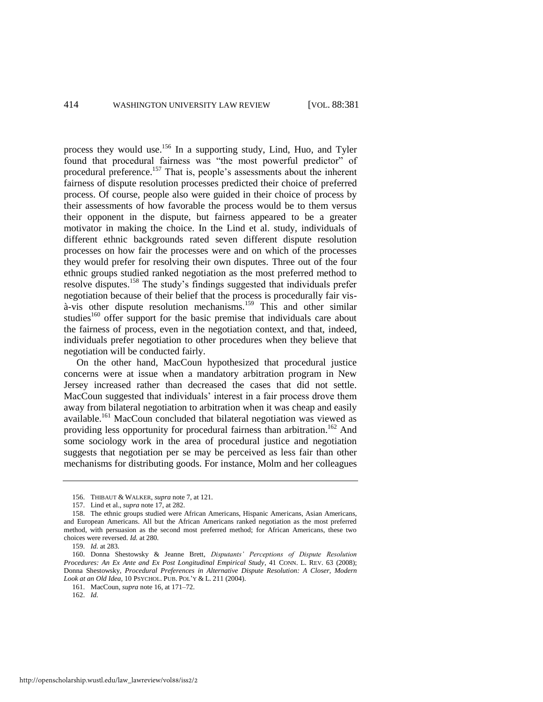process they would use.<sup>156</sup> In a supporting study, Lind, Huo, and Tyler found that procedural fairness was "the most powerful predictor" of procedural preference.<sup>157</sup> That is, people's assessments about the inherent fairness of dispute resolution processes predicted their choice of preferred process. Of course, people also were guided in their choice of process by their assessments of how favorable the process would be to them versus their opponent in the dispute, but fairness appeared to be a greater motivator in making the choice. In the Lind et al. study, individuals of different ethnic backgrounds rated seven different dispute resolution processes on how fair the processes were and on which of the processes they would prefer for resolving their own disputes. Three out of the four ethnic groups studied ranked negotiation as the most preferred method to resolve disputes.<sup>158</sup> The study's findings suggested that individuals prefer negotiation because of their belief that the process is procedurally fair visà-vis other dispute resolution mechanisms.<sup>159</sup> This and other similar studies<sup>160</sup> offer support for the basic premise that individuals care about the fairness of process, even in the negotiation context, and that, indeed, individuals prefer negotiation to other procedures when they believe that negotiation will be conducted fairly.

<span id="page-34-0"></span>On the other hand, MacCoun hypothesized that procedural justice concerns were at issue when a mandatory arbitration program in New Jersey increased rather than decreased the cases that did not settle. MacCoun suggested that individuals' interest in a fair process drove them away from bilateral negotiation to arbitration when it was cheap and easily available.<sup>161</sup> MacCoun concluded that bilateral negotiation was viewed as providing less opportunity for procedural fairness than arbitration.<sup>162</sup> And some sociology work in the area of procedural justice and negotiation suggests that negotiation per se may be perceived as less fair than other mechanisms for distributing goods. For instance, Molm and her colleagues

<sup>156.</sup> THIBAUT & WALKER, *supra* not[e 7,](#page-4-0) at 121.

<sup>157.</sup> Lind et al., *supra* not[e 17,](#page-7-2) at 282.

<sup>158.</sup> The ethnic groups studied were African Americans, Hispanic Americans, Asian Americans, and European Americans. All but the African Americans ranked negotiation as the most preferred method, with persuasion as the second most preferred method; for African Americans, these two choices were reversed. *Id.* at 280.

<sup>159.</sup> *Id.* at 283.

<sup>160.</sup> Donna Shestowsky & Jeanne Brett, *Disputants' Perceptions of Dispute Resolution Procedures: An Ex Ante and Ex Post Longitudinal Empirical Study*, 41 CONN. L. REV. 63 (2008); Donna Shestowsky, *Procedural Preferences in Alternative Dispute Resolution: A Closer, Modern Look at an Old Idea*, 10 PSYCHOL. PUB. POL'Y & L. 211 (2004).

<sup>161.</sup> MacCoun, *supra* note [16,](#page-7-0) at 171–72.

<sup>162.</sup> *Id.*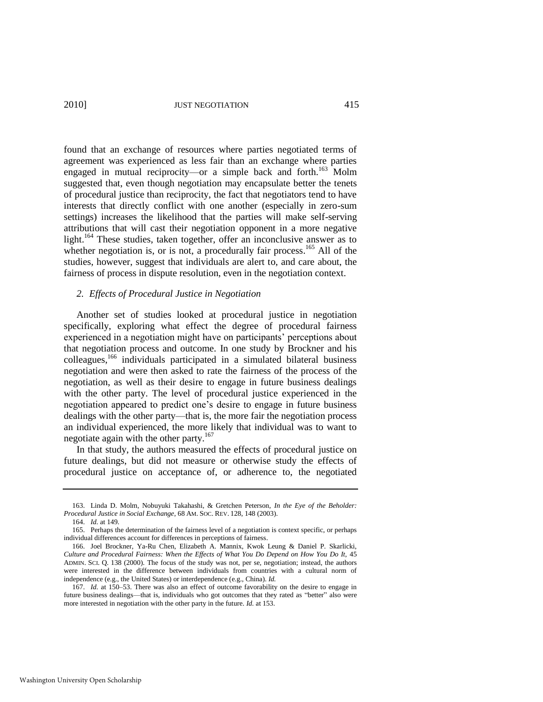found that an exchange of resources where parties negotiated terms of agreement was experienced as less fair than an exchange where parties engaged in mutual reciprocity—or a simple back and forth.<sup>163</sup> Molm suggested that, even though negotiation may encapsulate better the tenets of procedural justice than reciprocity, the fact that negotiators tend to have interests that directly conflict with one another (especially in zero-sum settings) increases the likelihood that the parties will make self-serving attributions that will cast their negotiation opponent in a more negative light.<sup>164</sup> These studies, taken together, offer an inconclusive answer as to whether negotiation is, or is not, a procedurally fair process.<sup>165</sup> All of the studies, however, suggest that individuals are alert to, and care about, the fairness of process in dispute resolution, even in the negotiation context.

## *2. Effects of Procedural Justice in Negotiation*

Another set of studies looked at procedural justice in negotiation specifically, exploring what effect the degree of procedural fairness experienced in a negotiation might have on participants' perceptions about that negotiation process and outcome. In one study by Brockner and his colleagues,<sup>166</sup> individuals participated in a simulated bilateral business negotiation and were then asked to rate the fairness of the process of the negotiation, as well as their desire to engage in future business dealings with the other party. The level of procedural justice experienced in the negotiation appeared to predict one's desire to engage in future business dealings with the other party—that is, the more fair the negotiation process an individual experienced, the more likely that individual was to want to negotiate again with the other party. $167$ 

In that study, the authors measured the effects of procedural justice on future dealings, but did not measure or otherwise study the effects of procedural justice on acceptance of, or adherence to, the negotiated

<sup>163.</sup> Linda D. Molm, Nobuyuki Takahashi, & Gretchen Peterson, *In the Eye of the Beholder: Procedural Justice in Social Exchange*, 68 AM. SOC. REV. 128, 148 (2003).

<sup>164.</sup> *Id.* at 149.

<sup>165.</sup> Perhaps the determination of the fairness level of a negotiation is context specific, or perhaps individual differences account for differences in perceptions of fairness.

<sup>166.</sup> Joel Brockner, Ya-Ru Chen, Elizabeth A. Mannix, Kwok Leung & Daniel P. Skarlicki, *Culture and Procedural Fairness: When the Effects of What You Do Depend on How You Do It,* 45 ADMIN. SCI. Q. 138 (2000). The focus of the study was not, per se, negotiation; instead, the authors were interested in the difference between individuals from countries with a cultural norm of independence (e.g., the United States) or interdependence (e.g., China). *Id.*

<sup>167.</sup> *Id.* at 150–53. There was also an effect of outcome favorability on the desire to engage in future business dealings—that is, individuals who got outcomes that they rated as "better" also were more interested in negotiation with the other party in the future. *Id.* at 153.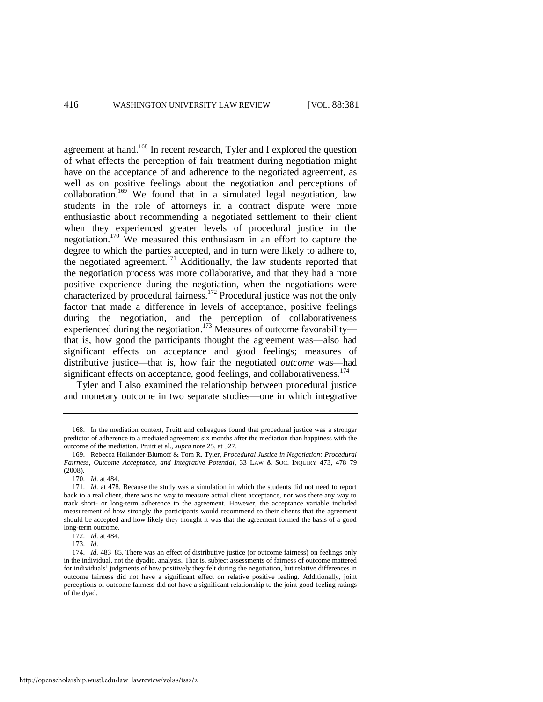<span id="page-36-0"></span>agreement at hand.<sup>168</sup> In recent research, Tyler and I explored the question of what effects the perception of fair treatment during negotiation might have on the acceptance of and adherence to the negotiated agreement, as well as on positive feelings about the negotiation and perceptions of collaboration.<sup>169</sup> We found that in a simulated legal negotiation, law students in the role of attorneys in a contract dispute were more enthusiastic about recommending a negotiated settlement to their client when they experienced greater levels of procedural justice in the negotiation.<sup>170</sup> We measured this enthusiasm in an effort to capture the degree to which the parties accepted, and in turn were likely to adhere to, the negotiated agreement.<sup>171</sup> Additionally, the law students reported that the negotiation process was more collaborative, and that they had a more positive experience during the negotiation, when the negotiations were characterized by procedural fairness.<sup>172</sup> Procedural justice was not the only factor that made a difference in levels of acceptance, positive feelings during the negotiation, and the perception of collaborativeness experienced during the negotiation.<sup>173</sup> Measures of outcome favorability that is, how good the participants thought the agreement was—also had significant effects on acceptance and good feelings; measures of distributive justice—that is, how fair the negotiated *outcome* was—had significant effects on acceptance, good feelings, and collaborativeness.<sup>174</sup>

Tyler and I also examined the relationship between procedural justice and monetary outcome in two separate studies—one in which integrative

<sup>168.</sup> In the mediation context, Pruitt and colleagues found that procedural justice was a stronger predictor of adherence to a mediated agreement six months after the mediation than happiness with the outcome of the mediation. Pruitt et al., *supra* not[e 25,](#page-8-0) at 327.

<sup>169.</sup> Rebecca Hollander-Blumoff & Tom R. Tyler, *Procedural Justice in Negotiation: Procedural Fairness, Outcome Acceptance, and Integrative Potential*, 33 LAW & SOC. INQUIRY 473, 478–79 (2008).

<sup>170.</sup> *Id.* at 484.

<sup>171.</sup> *Id.* at 478. Because the study was a simulation in which the students did not need to report back to a real client, there was no way to measure actual client acceptance, nor was there any way to track short- or long-term adherence to the agreement. However, the acceptance variable included measurement of how strongly the participants would recommend to their clients that the agreement should be accepted and how likely they thought it was that the agreement formed the basis of a good long-term outcome.

<sup>172.</sup> *Id.* at 484.

<sup>173.</sup> *Id.*

<sup>174.</sup> *Id.* 483–85. There was an effect of distributive justice (or outcome fairness) on feelings only in the individual, not the dyadic, analysis. That is, subject assessments of fairness of outcome mattered for individuals' judgments of how positively they felt during the negotiation, but relative differences in outcome fairness did not have a significant effect on relative positive feeling. Additionally, joint perceptions of outcome fairness did not have a significant relationship to the joint good-feeling ratings of the dyad.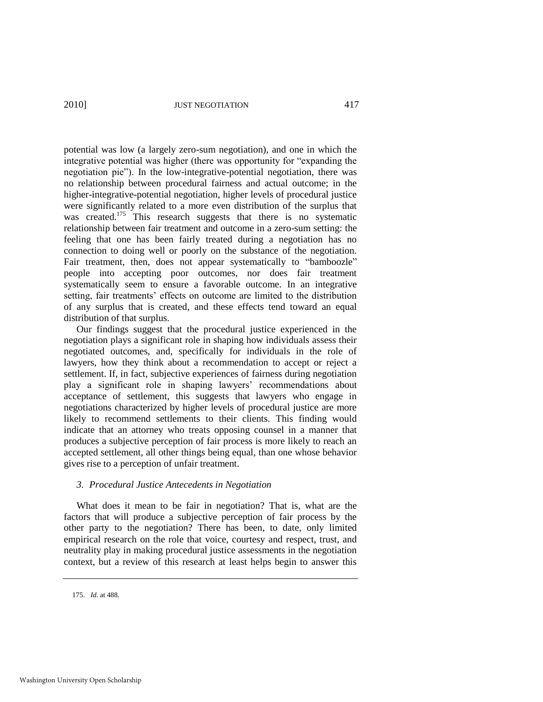<span id="page-37-0"></span>potential was low (a largely zero-sum negotiation), and one in which the integrative potential was higher (there was opportunity for "expanding the negotiation pie"). In the low-integrative-potential negotiation, there was no relationship between procedural fairness and actual outcome; in the higher-integrative-potential negotiation, higher levels of procedural justice were significantly related to a more even distribution of the surplus that was created.<sup>175</sup> This research suggests that there is no systematic relationship between fair treatment and outcome in a zero-sum setting: the feeling that one has been fairly treated during a negotiation has no connection to doing well or poorly on the substance of the negotiation. Fair treatment, then, does not appear systematically to "bamboozle" people into accepting poor outcomes, nor does fair treatment systematically seem to ensure a favorable outcome. In an integrative setting, fair treatments' effects on outcome are limited to the distribution of any surplus that is created, and these effects tend toward an equal distribution of that surplus.

Our findings suggest that the procedural justice experienced in the negotiation plays a significant role in shaping how individuals assess their negotiated outcomes, and, specifically for individuals in the role of lawyers, how they think about a recommendation to accept or reject a settlement. If, in fact, subjective experiences of fairness during negotiation play a significant role in shaping lawyers' recommendations about acceptance of settlement, this suggests that lawyers who engage in negotiations characterized by higher levels of procedural justice are more likely to recommend settlements to their clients. This finding would indicate that an attorney who treats opposing counsel in a manner that produces a subjective perception of fair process is more likely to reach an accepted settlement, all other things being equal, than one whose behavior gives rise to a perception of unfair treatment.

## *3. Procedural Justice Antecedents in Negotiation*

What does it mean to be fair in negotiation? That is, what are the factors that will produce a subjective perception of fair process by the other party to the negotiation? There has been, to date, only limited empirical research on the role that voice, courtesy and respect, trust, and neutrality play in making procedural justice assessments in the negotiation context, but a review of this research at least helps begin to answer this

<sup>175.</sup> *Id.* at 488.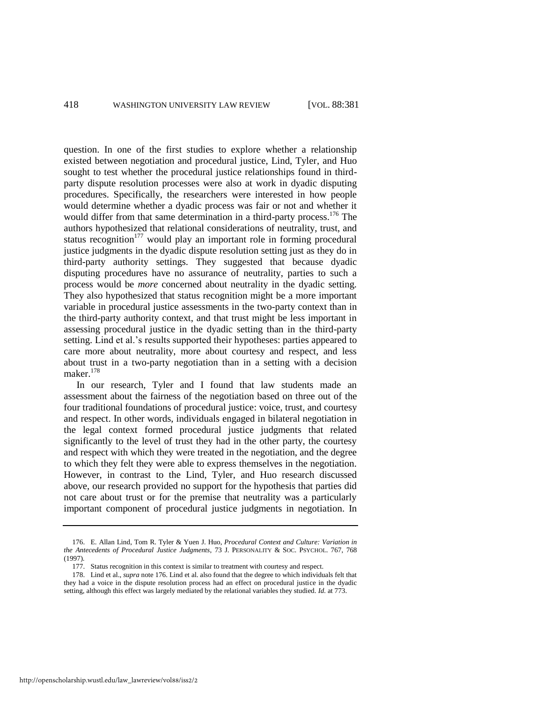<span id="page-38-0"></span>question. In one of the first studies to explore whether a relationship existed between negotiation and procedural justice, Lind, Tyler, and Huo sought to test whether the procedural justice relationships found in thirdparty dispute resolution processes were also at work in dyadic disputing procedures. Specifically, the researchers were interested in how people would determine whether a dyadic process was fair or not and whether it would differ from that same determination in a third-party process.<sup>176</sup> The authors hypothesized that relational considerations of neutrality, trust, and status recognition $177$  would play an important role in forming procedural justice judgments in the dyadic dispute resolution setting just as they do in third-party authority settings. They suggested that because dyadic disputing procedures have no assurance of neutrality, parties to such a process would be *more* concerned about neutrality in the dyadic setting. They also hypothesized that status recognition might be a more important variable in procedural justice assessments in the two-party context than in the third-party authority context, and that trust might be less important in assessing procedural justice in the dyadic setting than in the third-party setting. Lind et al.'s results supported their hypotheses: parties appeared to care more about neutrality, more about courtesy and respect, and less about trust in a two-party negotiation than in a setting with a decision maker.<sup>178</sup>

In our research, Tyler and I found that law students made an assessment about the fairness of the negotiation based on three out of the four traditional foundations of procedural justice: voice, trust, and courtesy and respect. In other words, individuals engaged in bilateral negotiation in the legal context formed procedural justice judgments that related significantly to the level of trust they had in the other party, the courtesy and respect with which they were treated in the negotiation, and the degree to which they felt they were able to express themselves in the negotiation. However, in contrast to the Lind, Tyler, and Huo research discussed above, our research provided no support for the hypothesis that parties did not care about trust or for the premise that neutrality was a particularly important component of procedural justice judgments in negotiation. In

<sup>176.</sup> E. Allan Lind, Tom R. Tyler & Yuen J. Huo, *Procedural Context and Culture: Variation in the Antecedents of Procedural Justice Judgments*, 73 J. PERSONALITY & SOC. PSYCHOL. 767, 768 (1997).

<sup>177.</sup> Status recognition in this context is similar to treatment with courtesy and respect.

<sup>178.</sup> Lind et al., *supra* not[e 176.](#page-38-0) Lind et al. also found that the degree to which individuals felt that they had a voice in the dispute resolution process had an effect on procedural justice in the dyadic setting, although this effect was largely mediated by the relational variables they studied. *Id.* at 773.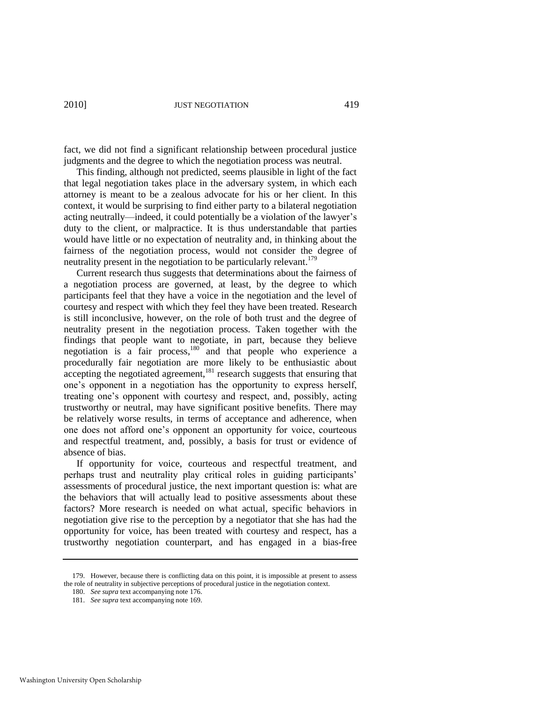fact, we did not find a significant relationship between procedural justice judgments and the degree to which the negotiation process was neutral.

This finding, although not predicted, seems plausible in light of the fact that legal negotiation takes place in the adversary system, in which each attorney is meant to be a zealous advocate for his or her client. In this context, it would be surprising to find either party to a bilateral negotiation acting neutrally—indeed, it could potentially be a violation of the lawyer's duty to the client, or malpractice. It is thus understandable that parties would have little or no expectation of neutrality and, in thinking about the fairness of the negotiation process, would not consider the degree of neutrality present in the negotiation to be particularly relevant.<sup>179</sup>

Current research thus suggests that determinations about the fairness of a negotiation process are governed, at least, by the degree to which participants feel that they have a voice in the negotiation and the level of courtesy and respect with which they feel they have been treated. Research is still inconclusive, however, on the role of both trust and the degree of neutrality present in the negotiation process. Taken together with the findings that people want to negotiate, in part, because they believe negotiation is a fair process,<sup>180</sup> and that people who experience a procedurally fair negotiation are more likely to be enthusiastic about  $\alpha$  accepting the negotiated agreement,<sup>181</sup> research suggests that ensuring that one's opponent in a negotiation has the opportunity to express herself, treating one's opponent with courtesy and respect, and, possibly, acting trustworthy or neutral, may have significant positive benefits. There may be relatively worse results, in terms of acceptance and adherence, when one does not afford one's opponent an opportunity for voice, courteous and respectful treatment, and, possibly, a basis for trust or evidence of absence of bias.

If opportunity for voice, courteous and respectful treatment, and perhaps trust and neutrality play critical roles in guiding participants' assessments of procedural justice, the next important question is: what are the behaviors that will actually lead to positive assessments about these factors? More research is needed on what actual, specific behaviors in negotiation give rise to the perception by a negotiator that she has had the opportunity for voice, has been treated with courtesy and respect, has a trustworthy negotiation counterpart, and has engaged in a bias-free

<sup>179.</sup> However, because there is conflicting data on this point, it is impossible at present to assess the role of neutrality in subjective perceptions of procedural justice in the negotiation context.

<sup>180.</sup> *See supra* text accompanying not[e 176.](#page-38-0)

<sup>181.</sup> *See supra* text accompanying not[e 169.](#page-36-0)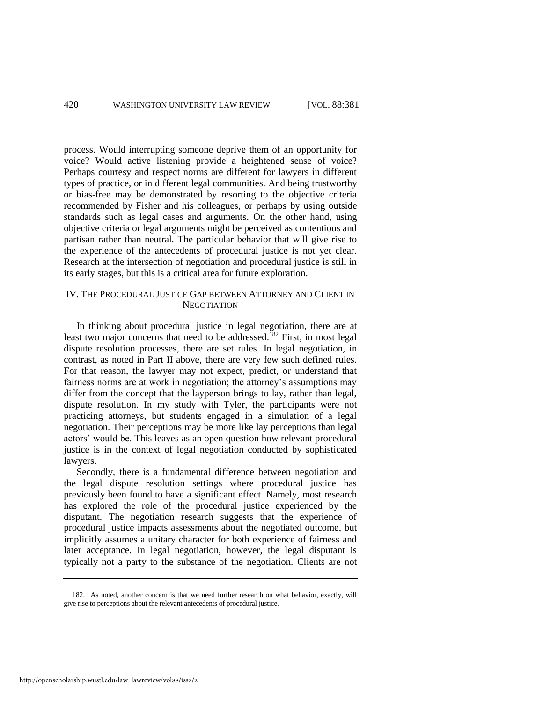process. Would interrupting someone deprive them of an opportunity for voice? Would active listening provide a heightened sense of voice? Perhaps courtesy and respect norms are different for lawyers in different types of practice, or in different legal communities. And being trustworthy or bias-free may be demonstrated by resorting to the objective criteria recommended by Fisher and his colleagues, or perhaps by using outside standards such as legal cases and arguments. On the other hand, using objective criteria or legal arguments might be perceived as contentious and partisan rather than neutral. The particular behavior that will give rise to the experience of the antecedents of procedural justice is not yet clear. Research at the intersection of negotiation and procedural justice is still in its early stages, but this is a critical area for future exploration.

## IV. THE PROCEDURAL JUSTICE GAP BETWEEN ATTORNEY AND CLIENT IN **NEGOTIATION**

In thinking about procedural justice in legal negotiation, there are at least two major concerns that need to be addressed.<sup>182</sup> First, in most legal dispute resolution processes, there are set rules. In legal negotiation, in contrast, as noted in Part II above, there are very few such defined rules. For that reason, the lawyer may not expect, predict, or understand that fairness norms are at work in negotiation; the attorney's assumptions may differ from the concept that the layperson brings to lay, rather than legal, dispute resolution. In my study with Tyler, the participants were not practicing attorneys, but students engaged in a simulation of a legal negotiation. Their perceptions may be more like lay perceptions than legal actors' would be. This leaves as an open question how relevant procedural justice is in the context of legal negotiation conducted by sophisticated lawyers.

Secondly, there is a fundamental difference between negotiation and the legal dispute resolution settings where procedural justice has previously been found to have a significant effect. Namely, most research has explored the role of the procedural justice experienced by the disputant. The negotiation research suggests that the experience of procedural justice impacts assessments about the negotiated outcome, but implicitly assumes a unitary character for both experience of fairness and later acceptance. In legal negotiation, however, the legal disputant is typically not a party to the substance of the negotiation. Clients are not

<sup>182.</sup> As noted, another concern is that we need further research on what behavior, exactly, will give rise to perceptions about the relevant antecedents of procedural justice.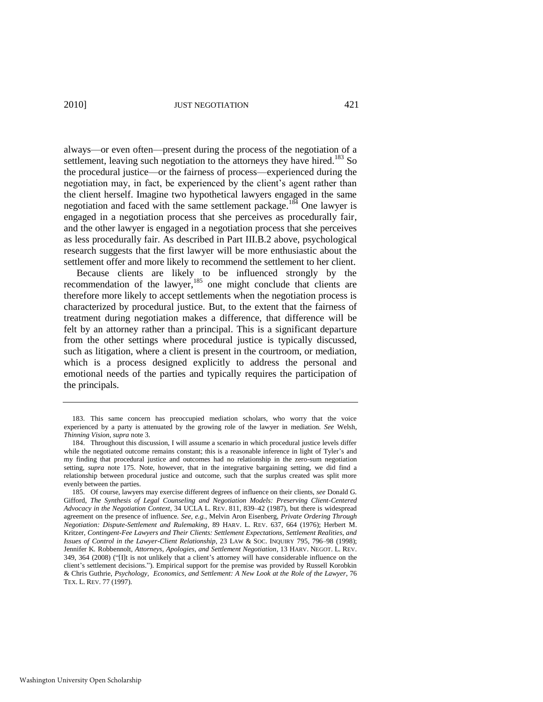always—or even often—present during the process of the negotiation of a settlement, leaving such negotiation to the attorneys they have hired.<sup>183</sup> So the procedural justice—or the fairness of process—experienced during the negotiation may, in fact, be experienced by the client's agent rather than the client herself. Imagine two hypothetical lawyers engaged in the same negotiation and faced with the same settlement package.<sup>184</sup> One lawyer is engaged in a negotiation process that she perceives as procedurally fair, and the other lawyer is engaged in a negotiation process that she perceives as less procedurally fair. As described in Part III.B.2 above, psychological research suggests that the first lawyer will be more enthusiastic about the settlement offer and more likely to recommend the settlement to her client.

<span id="page-41-0"></span>Because clients are likely to be influenced strongly by the recommendation of the lawyer,<sup>185</sup> one might conclude that clients are therefore more likely to accept settlements when the negotiation process is characterized by procedural justice. But, to the extent that the fairness of treatment during negotiation makes a difference, that difference will be felt by an attorney rather than a principal. This is a significant departure from the other settings where procedural justice is typically discussed, such as litigation, where a client is present in the courtroom, or mediation, which is a process designed explicitly to address the personal and emotional needs of the parties and typically requires the participation of the principals.

<sup>183.</sup> This same concern has preoccupied mediation scholars, who worry that the voice experienced by a party is attenuated by the growing role of the lawyer in mediation. *See* Welsh, *Thinning Vision*, *supra* not[e 3.](#page-3-0) 

<sup>184.</sup> Throughout this discussion, I will assume a scenario in which procedural justice levels differ while the negotiated outcome remains constant; this is a reasonable inference in light of Tyler's and my finding that procedural justice and outcomes had no relationship in the zero-sum negotiation setting, *supra* note [175.](#page-37-0) Note, however, that in the integrative bargaining setting, we did find a relationship between procedural justice and outcome, such that the surplus created was split more evenly between the parties.

<sup>185.</sup> Of course, lawyers may exercise different degrees of influence on their clients, *see* Donald G. Gifford, *The Synthesis of Legal Counseling and Negotiation Models: Preserving Client-Centered Advocacy in the Negotiation Context*, 34 UCLA L. REV. 811, 839–42 (1987), but there is widespread agreement on the presence of influence. *See, e.g.*, Melvin Aron Eisenberg, *Private Ordering Through Negotiation: Dispute-Settlement and Rulemaking*, 89 HARV. L. REV. 637, 664 (1976); Herbert M. Kritzer, *Contingent-Fee Lawyers and Their Clients: Settlement Expectations, Settlement Realities, and Issues of Control in the Lawyer-Client Relationship*, 23 LAW & SOC. INQUIRY 795, 796–98 (1998); Jennifer K. Robbennolt, *Attorneys, Apologies, and Settlement Negotiation*, 13 HARV. NEGOT. L. REV.  $349, 364$  (2008) ("[I]t is not unlikely that a client's attorney will have considerable influence on the client's settlement decisions."). Empirical support for the premise was provided by Russell Korobkin & Chris Guthrie, *Psychology, Economics, and Settlement: A New Look at the Role of the Lawyer*, 76 TEX. L. REV. 77 (1997).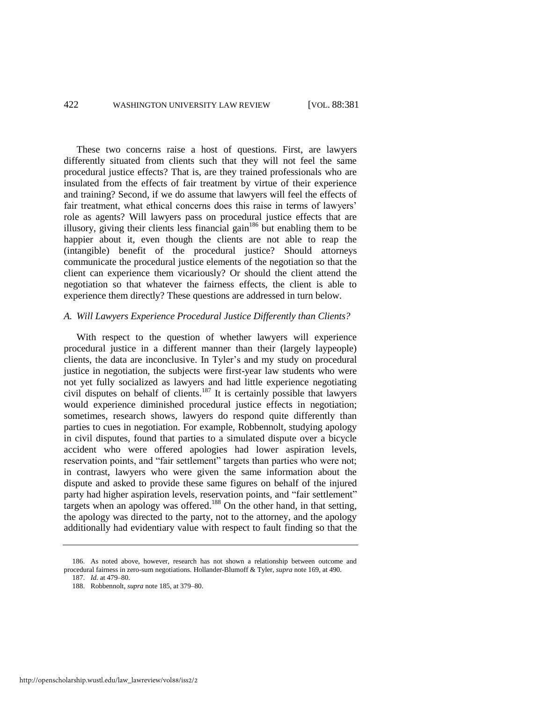These two concerns raise a host of questions. First, are lawyers differently situated from clients such that they will not feel the same procedural justice effects? That is, are they trained professionals who are insulated from the effects of fair treatment by virtue of their experience and training? Second, if we do assume that lawyers will feel the effects of fair treatment, what ethical concerns does this raise in terms of lawyers' role as agents? Will lawyers pass on procedural justice effects that are illusory, giving their clients less financial gain<sup>186</sup> but enabling them to be happier about it, even though the clients are not able to reap the (intangible) benefit of the procedural justice? Should attorneys communicate the procedural justice elements of the negotiation so that the client can experience them vicariously? Or should the client attend the negotiation so that whatever the fairness effects, the client is able to experience them directly? These questions are addressed in turn below.

## *A. Will Lawyers Experience Procedural Justice Differently than Clients?*

With respect to the question of whether lawyers will experience procedural justice in a different manner than their (largely laypeople) clients, the data are inconclusive. In Tyler's and my study on procedural justice in negotiation, the subjects were first-year law students who were not yet fully socialized as lawyers and had little experience negotiating civil disputes on behalf of clients.<sup>187</sup> It is certainly possible that lawyers would experience diminished procedural justice effects in negotiation; sometimes, research shows, lawyers do respond quite differently than parties to cues in negotiation. For example, Robbennolt, studying apology in civil disputes, found that parties to a simulated dispute over a bicycle accident who were offered apologies had lower aspiration levels, reservation points, and "fair settlement" targets than parties who were not; in contrast, lawyers who were given the same information about the dispute and asked to provide these same figures on behalf of the injured party had higher aspiration levels, reservation points, and "fair settlement" targets when an apology was offered.<sup>188</sup> On the other hand, in that setting, the apology was directed to the party, not to the attorney, and the apology additionally had evidentiary value with respect to fault finding so that the

<sup>186.</sup> As noted above, however, research has not shown a relationship between outcome and procedural fairness in zero-sum negotiations. Hollander-Blumoff & Tyler, *supra* not[e 169,](#page-36-0) at 490. 187. *Id.* at 479–80.

<sup>188.</sup> Robbennolt, *supra* not[e 185,](#page-41-0) at 379–80.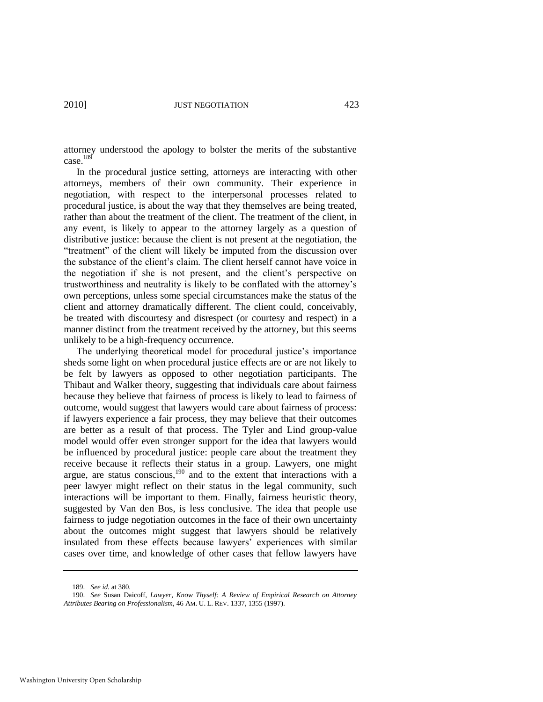attorney understood the apology to bolster the merits of the substantive case. $189$ 

In the procedural justice setting, attorneys are interacting with other attorneys, members of their own community. Their experience in negotiation, with respect to the interpersonal processes related to procedural justice, is about the way that they themselves are being treated, rather than about the treatment of the client. The treatment of the client, in any event, is likely to appear to the attorney largely as a question of distributive justice: because the client is not present at the negotiation, the "treatment" of the client will likely be imputed from the discussion over the substance of the client's claim. The client herself cannot have voice in the negotiation if she is not present, and the client's perspective on trustworthiness and neutrality is likely to be conflated with the attorney's own perceptions, unless some special circumstances make the status of the client and attorney dramatically different. The client could, conceivably, be treated with discourtesy and disrespect (or courtesy and respect) in a manner distinct from the treatment received by the attorney, but this seems unlikely to be a high-frequency occurrence.

The underlying theoretical model for procedural justice's importance sheds some light on when procedural justice effects are or are not likely to be felt by lawyers as opposed to other negotiation participants. The Thibaut and Walker theory, suggesting that individuals care about fairness because they believe that fairness of process is likely to lead to fairness of outcome, would suggest that lawyers would care about fairness of process: if lawyers experience a fair process, they may believe that their outcomes are better as a result of that process. The Tyler and Lind group-value model would offer even stronger support for the idea that lawyers would be influenced by procedural justice: people care about the treatment they receive because it reflects their status in a group. Lawyers, one might argue, are status conscious, $190$  and to the extent that interactions with a peer lawyer might reflect on their status in the legal community, such interactions will be important to them. Finally, fairness heuristic theory, suggested by Van den Bos, is less conclusive. The idea that people use fairness to judge negotiation outcomes in the face of their own uncertainty about the outcomes might suggest that lawyers should be relatively insulated from these effects because lawyers' experiences with similar cases over time, and knowledge of other cases that fellow lawyers have

<sup>189.</sup> *See id.* at 380.

<sup>190.</sup> *See* Susan Daicoff, *Lawyer, Know Thyself: A Review of Empirical Research on Attorney Attributes Bearing on Professionalism*, 46 AM. U. L. REV. 1337, 1355 (1997).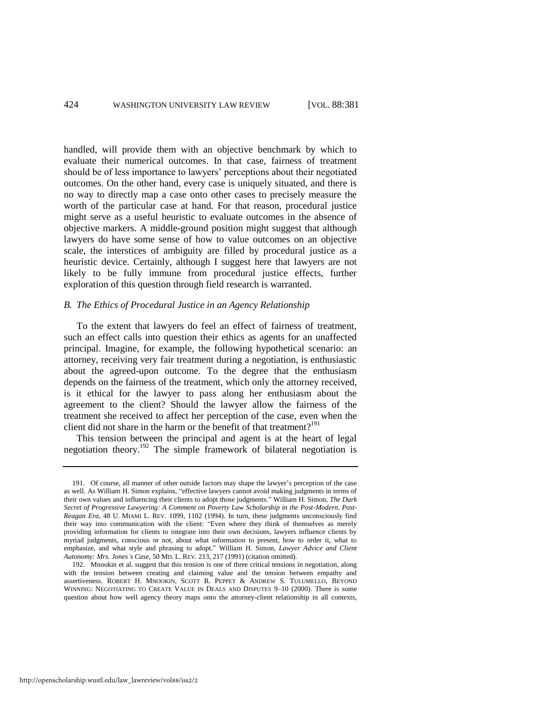handled, will provide them with an objective benchmark by which to evaluate their numerical outcomes. In that case, fairness of treatment should be of less importance to lawyers' perceptions about their negotiated outcomes. On the other hand, every case is uniquely situated, and there is no way to directly map a case onto other cases to precisely measure the worth of the particular case at hand. For that reason, procedural justice might serve as a useful heuristic to evaluate outcomes in the absence of objective markers. A middle-ground position might suggest that although lawyers do have some sense of how to value outcomes on an objective scale, the interstices of ambiguity are filled by procedural justice as a heuristic device. Certainly, although I suggest here that lawyers are not likely to be fully immune from procedural justice effects, further exploration of this question through field research is warranted.

#### *B. The Ethics of Procedural Justice in an Agency Relationship*

To the extent that lawyers do feel an effect of fairness of treatment, such an effect calls into question their ethics as agents for an unaffected principal. Imagine, for example, the following hypothetical scenario: an attorney, receiving very fair treatment during a negotiation, is enthusiastic about the agreed-upon outcome. To the degree that the enthusiasm depends on the fairness of the treatment, which only the attorney received, is it ethical for the lawyer to pass along her enthusiasm about the agreement to the client? Should the lawyer allow the fairness of the treatment she received to affect her perception of the case, even when the client did not share in the harm or the benefit of that treatment?<sup>191</sup>

<span id="page-44-0"></span>This tension between the principal and agent is at the heart of legal negotiation theory.<sup>192</sup> The simple framework of bilateral negotiation is

http://openscholarship.wustl.edu/law\_lawreview/vol88/iss2/2

<sup>191.</sup> Of course, all manner of other outside factors may shape the lawyer's perception of the case as well. As William H. Simon explains, "effective lawyers cannot avoid making judgments in terms of their own values and influencing their clients to adopt those judgments." William H. Simon, *The Dark Secret of Progressive Lawyering: A Comment on Poverty Law Scholarship in the Post-Modern, Post-Reagan Era*, 48 U. MIAMI L. REV. 1099, 1102 (1994). In turn, these judgments unconsciously find their way into communication with the client: "Even where they think of themselves as merely providing information for clients to integrate into their own decisions, lawyers influence clients by myriad judgments, conscious or not, about what information to present, how to order it, what to emphasize, and what style and phrasing to adopt." William H. Simon, *Lawyer Advice and Client Autonomy: Mrs. Jones's Case*, 50 MD. L. REV. 213, 217 (1991) (citation omitted).

<sup>192.</sup> Mnookin et al. suggest that this tension is one of three critical tensions in negotiation, along with the tension between creating and claiming value and the tension between empathy and assertiveness. ROBERT H. MNOOKIN, SCOTT R. PEPPET & ANDREW S. TULUMELLO, BEYOND WINNING: NEGOTIATING TO CREATE VALUE IN DEALS AND DISPUTES 9–10 (2000). There is some question about how well agency theory maps onto the attorney-client relationship in all contexts,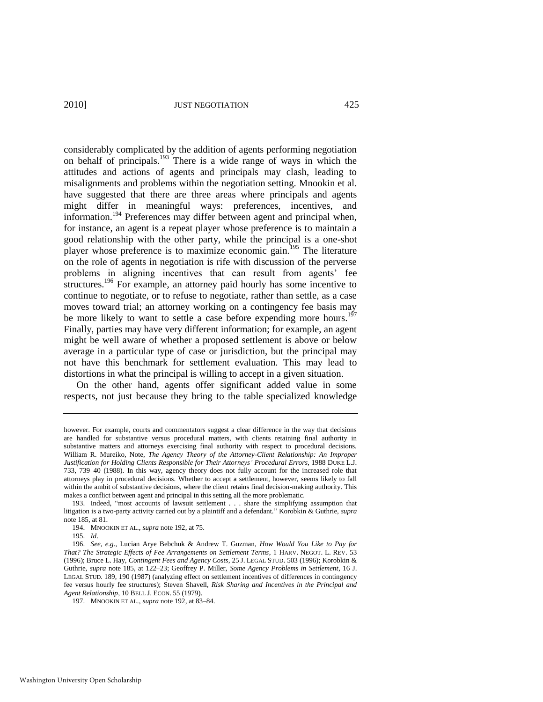considerably complicated by the addition of agents performing negotiation on behalf of principals.<sup>193</sup> There is a wide range of ways in which the attitudes and actions of agents and principals may clash, leading to misalignments and problems within the negotiation setting. Mnookin et al. have suggested that there are three areas where principals and agents might differ in meaningful ways: preferences, incentives, and information.<sup>194</sup> Preferences may differ between agent and principal when, for instance, an agent is a repeat player whose preference is to maintain a good relationship with the other party, while the principal is a one-shot player whose preference is to maximize economic gain.<sup>195</sup> The literature on the role of agents in negotiation is rife with discussion of the perverse problems in aligning incentives that can result from agents' fee structures.<sup>196</sup> For example, an attorney paid hourly has some incentive to continue to negotiate, or to refuse to negotiate, rather than settle, as a case moves toward trial; an attorney working on a contingency fee basis may be more likely to want to settle a case before expending more hours.<sup>197</sup> Finally, parties may have very different information; for example, an agent might be well aware of whether a proposed settlement is above or below average in a particular type of case or jurisdiction, but the principal may not have this benchmark for settlement evaluation. This may lead to distortions in what the principal is willing to accept in a given situation.

On the other hand, agents offer significant added value in some respects, not just because they bring to the table specialized knowledge

however. For example, courts and commentators suggest a clear difference in the way that decisions are handled for substantive versus procedural matters, with clients retaining final authority in substantive matters and attorneys exercising final authority with respect to procedural decisions. William R. Mureiko, Note, *The Agency Theory of the Attorney-Client Relationship: An Improper Justification for Holding Clients Responsible for Their Attorneys' Procedural Errors*, 1988 DUKE L.J. 733, 739–40 (1988). In this way, agency theory does not fully account for the increased role that attorneys play in procedural decisions. Whether to accept a settlement, however, seems likely to fall within the ambit of substantive decisions, where the client retains final decision-making authority. This makes a conflict between agent and principal in this setting all the more problematic.

<sup>193.</sup> Indeed, "most accounts of lawsuit settlement . . . share the simplifying assumption that litigation is a two-party activity carried out by a plaintiff and a defendant.‖ Korobkin & Guthrie, *supra* note [185,](#page-41-0) at 81.

<sup>194.</sup> MNOOKIN ET AL., *supra* note [192,](#page-44-0) at 75.

<sup>195.</sup> *Id*.

<sup>196.</sup> *See, e.g.*, Lucian Arye Bebchuk & Andrew T. Guzman, *How Would You Like to Pay for That? The Strategic Effects of Fee Arrangements on Settlement Terms*, 1 HARV. NEGOT. L. REV. 53 (1996); Bruce L. Hay, *Contingent Fees and Agency Costs*, 25 J. LEGAL STUD. 503 (1996); Korobkin & Guthrie, *supra* note [185,](#page-41-0) at 122–23; Geoffrey P. Miller, *Some Agency Problems in Settlement*, 16 J. LEGAL STUD. 189, 190 (1987) (analyzing effect on settlement incentives of differences in contingency fee versus hourly fee structures); Steven Shavell, *Risk Sharing and Incentives in the Principal and Agent Relationship*, 10 BELL J. ECON. 55 (1979).

<sup>197.</sup> MNOOKIN ET AL., *supra* note [192,](#page-44-0) at 83–84.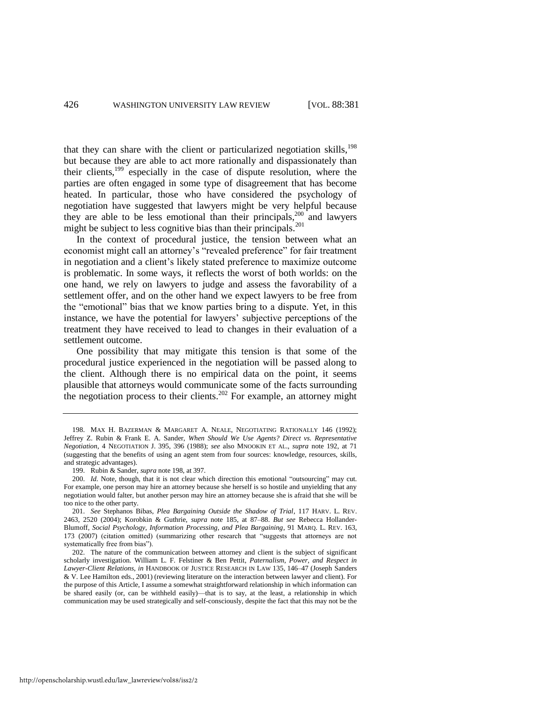<span id="page-46-0"></span>that they can share with the client or particularized negotiation skills,<sup>198</sup> but because they are able to act more rationally and dispassionately than their clients,<sup>199</sup> especially in the case of dispute resolution, where the parties are often engaged in some type of disagreement that has become heated. In particular, those who have considered the psychology of negotiation have suggested that lawyers might be very helpful because they are able to be less emotional than their principals, $200$  and lawyers might be subject to less cognitive bias than their principals. $^{201}$ 

In the context of procedural justice, the tension between what an economist might call an attorney's "revealed preference" for fair treatment in negotiation and a client's likely stated preference to maximize outcome is problematic. In some ways, it reflects the worst of both worlds: on the one hand, we rely on lawyers to judge and assess the favorability of a settlement offer, and on the other hand we expect lawyers to be free from the "emotional" bias that we know parties bring to a dispute. Yet, in this instance, we have the potential for lawyers' subjective perceptions of the treatment they have received to lead to changes in their evaluation of a settlement outcome.

One possibility that may mitigate this tension is that some of the procedural justice experienced in the negotiation will be passed along to the client. Although there is no empirical data on the point, it seems plausible that attorneys would communicate some of the facts surrounding the negotiation process to their clients.<sup>202</sup> For example, an attorney might

<sup>198.</sup> MAX H. BAZERMAN & MARGARET A. NEALE, NEGOTIATING RATIONALLY 146 (1992); Jeffrey Z. Rubin & Frank E. A. Sander, *When Should We Use Agents? Direct vs. Representative Negotiation*, 4 NEGOTIATION J. 395, 396 (1988); *see* also MNOOKIN ET AL., *supra* note [192,](#page-44-0) at 71 (suggesting that the benefits of using an agent stem from four sources: knowledge, resources, skills, and strategic advantages).

<sup>199.</sup> Rubin & Sander, *supra* not[e 198,](#page-46-0) at 397.

<sup>200.</sup> *Id.* Note, though, that it is not clear which direction this emotional "outsourcing" may cut. For example, one person may hire an attorney because she herself is so hostile and unyielding that any negotiation would falter, but another person may hire an attorney because she is afraid that she will be too nice to the other party.

<sup>201.</sup> *See* Stephanos Bibas, *Plea Bargaining Outside the Shadow of Trial*, 117 HARV. L. REV. 2463, 2520 (2004); Korobkin & Guthrie, *supra* note [185,](#page-41-0) at 87–88. *But see* Rebecca Hollander-Blumoff, *Social Psychology, Information Processing, and Plea Bargaining*, 91 MARQ. L. REV. 163, 173 (2007) (citation omitted) (summarizing other research that "suggests that attorneys are not systematically free from bias").

<sup>202.</sup> The nature of the communication between attorney and client is the subject of significant scholarly investigation. William L. F. Felstiner & Ben Pettit, *Paternalism, Power, and Respect in Lawyer-Client Relations*, *in* HANDBOOK OF JUSTICE RESEARCH IN LAW 135, 146–47 (Joseph Sanders & V. Lee Hamilton eds., 2001) (reviewing literature on the interaction between lawyer and client). For the purpose of this Article, I assume a somewhat straightforward relationship in which information can be shared easily (or, can be withheld easily)—that is to say, at the least, a relationship in which communication may be used strategically and self-consciously, despite the fact that this may not be the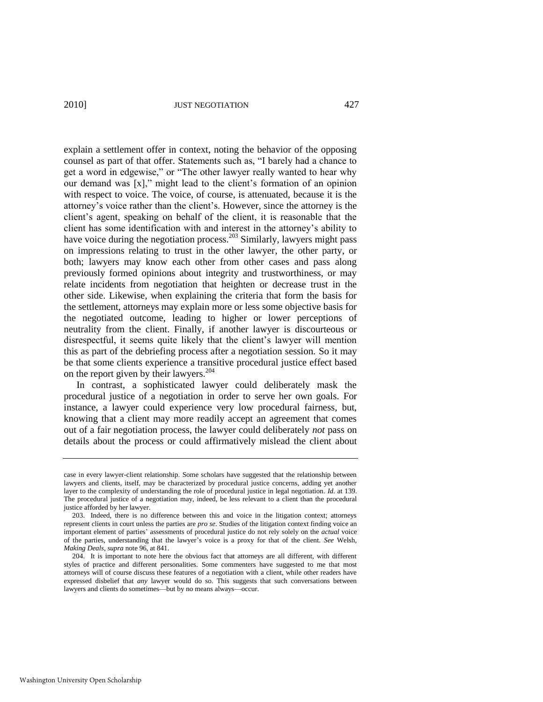explain a settlement offer in context, noting the behavior of the opposing counsel as part of that offer. Statements such as, "I barely had a chance to get a word in edgewise," or "The other lawyer really wanted to hear why our demand was  $[x]$ ," might lead to the client's formation of an opinion with respect to voice. The voice, of course, is attenuated, because it is the attorney's voice rather than the client's. However, since the attorney is the client's agent, speaking on behalf of the client, it is reasonable that the client has some identification with and interest in the attorney's ability to have voice during the negotiation process.<sup>203</sup> Similarly, lawyers might pass on impressions relating to trust in the other lawyer, the other party, or both; lawyers may know each other from other cases and pass along previously formed opinions about integrity and trustworthiness, or may relate incidents from negotiation that heighten or decrease trust in the other side. Likewise, when explaining the criteria that form the basis for the settlement, attorneys may explain more or less some objective basis for the negotiated outcome, leading to higher or lower perceptions of neutrality from the client. Finally, if another lawyer is discourteous or disrespectful, it seems quite likely that the client's lawyer will mention this as part of the debriefing process after a negotiation session. So it may be that some clients experience a transitive procedural justice effect based on the report given by their lawyers.<sup>204</sup>

In contrast, a sophisticated lawyer could deliberately mask the procedural justice of a negotiation in order to serve her own goals. For instance, a lawyer could experience very low procedural fairness, but, knowing that a client may more readily accept an agreement that comes out of a fair negotiation process, the lawyer could deliberately *not* pass on details about the process or could affirmatively mislead the client about

case in every lawyer-client relationship. Some scholars have suggested that the relationship between lawyers and clients, itself, may be characterized by procedural justice concerns, adding yet another layer to the complexity of understanding the role of procedural justice in legal negotiation. *Id.* at 139. The procedural justice of a negotiation may, indeed, be less relevant to a client than the procedural justice afforded by her lawyer.

<sup>203.</sup> Indeed, there is no difference between this and voice in the litigation context; attorneys represent clients in court unless the parties are *pro se*. Studies of the litigation context finding voice an important element of parties' assessments of procedural justice do not rely solely on the *actual* voice of the parties, understanding that the lawyer's voice is a proxy for that of the client. *See* Welsh, *Making Deals*, *supra* not[e 96,](#page-20-0) at 841.

<sup>204.</sup> It is important to note here the obvious fact that attorneys are all different, with different styles of practice and different personalities. Some commenters have suggested to me that most attorneys will of course discuss these features of a negotiation with a client, while other readers have expressed disbelief that *any* lawyer would do so. This suggests that such conversations between lawyers and clients do sometimes—but by no means always—occur.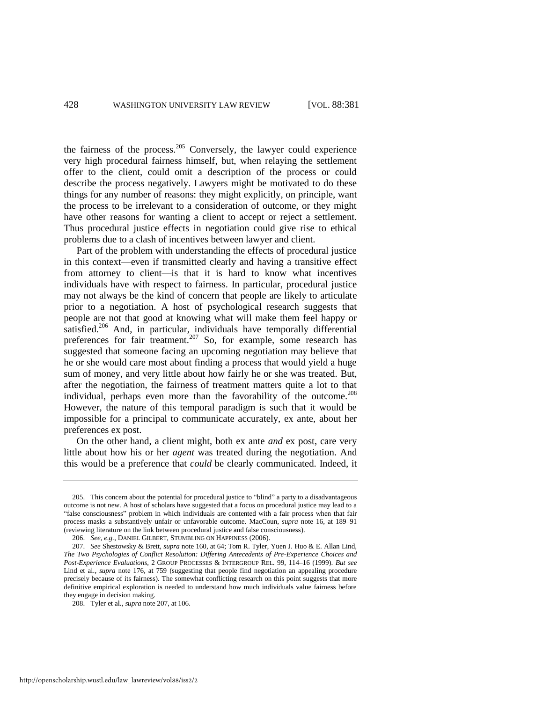the fairness of the process. $205$  Conversely, the lawyer could experience very high procedural fairness himself, but, when relaying the settlement offer to the client, could omit a description of the process or could describe the process negatively. Lawyers might be motivated to do these things for any number of reasons: they might explicitly, on principle, want the process to be irrelevant to a consideration of outcome, or they might have other reasons for wanting a client to accept or reject a settlement. Thus procedural justice effects in negotiation could give rise to ethical problems due to a clash of incentives between lawyer and client.

<span id="page-48-0"></span>Part of the problem with understanding the effects of procedural justice in this context—even if transmitted clearly and having a transitive effect from attorney to client—is that it is hard to know what incentives individuals have with respect to fairness. In particular, procedural justice may not always be the kind of concern that people are likely to articulate prior to a negotiation. A host of psychological research suggests that people are not that good at knowing what will make them feel happy or satisfied.<sup>206</sup> And, in particular, individuals have temporally differential preferences for fair treatment.<sup>207</sup> So, for example, some research has suggested that someone facing an upcoming negotiation may believe that he or she would care most about finding a process that would yield a huge sum of money, and very little about how fairly he or she was treated. But, after the negotiation, the fairness of treatment matters quite a lot to that individual, perhaps even more than the favorability of the outcome.<sup>208</sup> However, the nature of this temporal paradigm is such that it would be impossible for a principal to communicate accurately, ex ante, about her preferences ex post.

On the other hand, a client might, both ex ante *and* ex post, care very little about how his or her *agent* was treated during the negotiation. And this would be a preference that *could* be clearly communicated. Indeed, it

http://openscholarship.wustl.edu/law\_lawreview/vol88/iss2/2

<sup>205.</sup> This concern about the potential for procedural justice to "blind" a party to a disadvantageous outcome is not new. A host of scholars have suggested that a focus on procedural justice may lead to a ―false consciousness‖ problem in which individuals are contented with a fair process when that fair process masks a substantively unfair or unfavorable outcome. MacCoun, *supra* note [16,](#page-7-0) at 189–91 (reviewing literature on the link between procedural justice and false consciousness).

<sup>206.</sup> *See, e.g.*, DANIEL GILBERT, STUMBLING ON HAPPINESS (2006).

<sup>207.</sup> *See* Shestowsky & Brett, *supra* not[e 160,](#page-34-0) at 64; Tom R. Tyler, Yuen J. Huo & E. Allan Lind, *The Two Psychologies of Conflict Resolution: Differing Antecedents of Pre-Experience Choices and Post-Experience Evaluations*, 2 GROUP PROCESSES & INTERGROUP REL. 99, 114–16 (1999). *But see*  Lind et al.*, supra* note [176,](#page-38-0) at 759 (suggesting that people find negotiation an appealing procedure precisely because of its fairness). The somewhat conflicting research on this point suggests that more definitive empirical exploration is needed to understand how much individuals value fairness before they engage in decision making.

<sup>208.</sup> Tyler et al., *supra* not[e 207,](#page-48-0) at 106.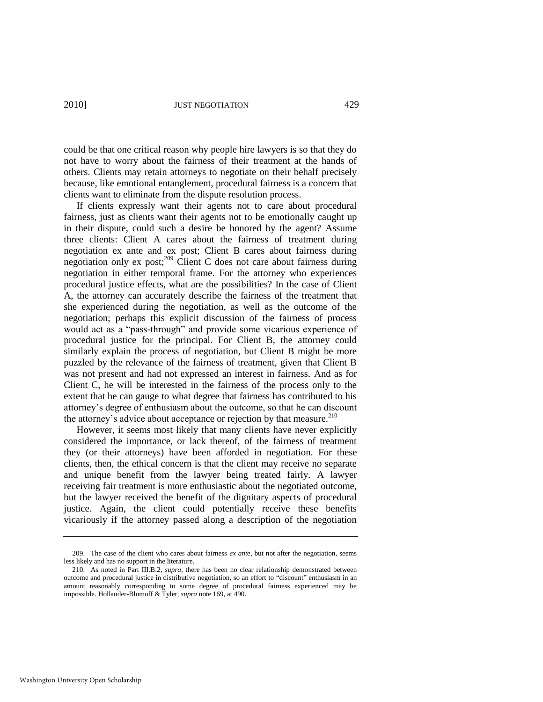could be that one critical reason why people hire lawyers is so that they do not have to worry about the fairness of their treatment at the hands of others. Clients may retain attorneys to negotiate on their behalf precisely because, like emotional entanglement, procedural fairness is a concern that clients want to eliminate from the dispute resolution process.

If clients expressly want their agents not to care about procedural fairness, just as clients want their agents not to be emotionally caught up in their dispute, could such a desire be honored by the agent? Assume three clients: Client A cares about the fairness of treatment during negotiation ex ante and ex post; Client B cares about fairness during negotiation only ex post;<sup>209</sup> Client C does not care about fairness during negotiation in either temporal frame. For the attorney who experiences procedural justice effects, what are the possibilities? In the case of Client A, the attorney can accurately describe the fairness of the treatment that she experienced during the negotiation, as well as the outcome of the negotiation; perhaps this explicit discussion of the fairness of process would act as a "pass-through" and provide some vicarious experience of procedural justice for the principal. For Client B, the attorney could similarly explain the process of negotiation, but Client B might be more puzzled by the relevance of the fairness of treatment, given that Client B was not present and had not expressed an interest in fairness. And as for Client C, he will be interested in the fairness of the process only to the extent that he can gauge to what degree that fairness has contributed to his attorney's degree of enthusiasm about the outcome, so that he can discount the attorney's advice about acceptance or rejection by that measure. $210$ 

However, it seems most likely that many clients have never explicitly considered the importance, or lack thereof, of the fairness of treatment they (or their attorneys) have been afforded in negotiation. For these clients, then, the ethical concern is that the client may receive no separate and unique benefit from the lawyer being treated fairly. A lawyer receiving fair treatment is more enthusiastic about the negotiated outcome, but the lawyer received the benefit of the dignitary aspects of procedural justice. Again, the client could potentially receive these benefits vicariously if the attorney passed along a description of the negotiation

<sup>209.</sup> The case of the client who cares about fairness *ex ante*, but not after the negotiation, seems less likely and has no support in the literature.

<sup>210.</sup> As noted in Part III.B.2, *supra*, there has been no clear relationship demonstrated between outcome and procedural justice in distributive negotiation, so an effort to "discount" enthusiasm in an amount reasonably corresponding to some degree of procedural fairness experienced may be impossible. Hollander-Blumoff & Tyler, *supra* not[e 169,](#page-36-0) at 490.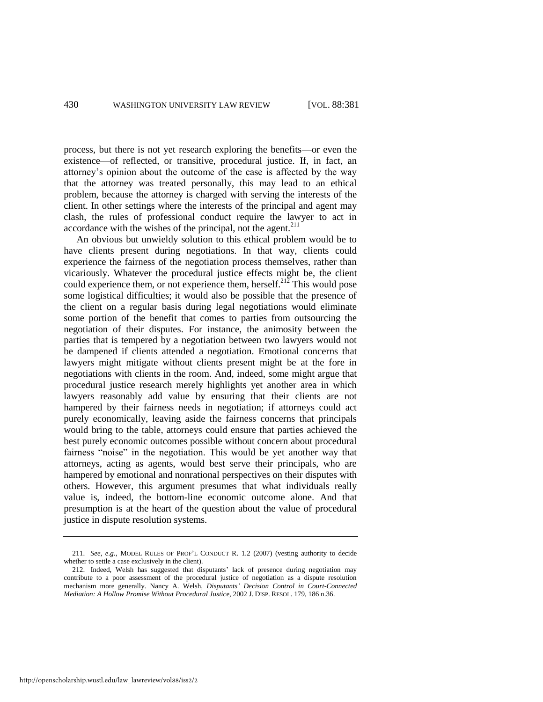process, but there is not yet research exploring the benefits—or even the existence—of reflected, or transitive, procedural justice. If, in fact, an attorney's opinion about the outcome of the case is affected by the way that the attorney was treated personally, this may lead to an ethical problem, because the attorney is charged with serving the interests of the client. In other settings where the interests of the principal and agent may clash, the rules of professional conduct require the lawyer to act in accordance with the wishes of the principal, not the agent. $2^{11}$ 

An obvious but unwieldy solution to this ethical problem would be to have clients present during negotiations. In that way, clients could experience the fairness of the negotiation process themselves, rather than vicariously. Whatever the procedural justice effects might be, the client could experience them, or not experience them, herself.<sup>212</sup> This would pose some logistical difficulties; it would also be possible that the presence of the client on a regular basis during legal negotiations would eliminate some portion of the benefit that comes to parties from outsourcing the negotiation of their disputes. For instance, the animosity between the parties that is tempered by a negotiation between two lawyers would not be dampened if clients attended a negotiation. Emotional concerns that lawyers might mitigate without clients present might be at the fore in negotiations with clients in the room. And, indeed, some might argue that procedural justice research merely highlights yet another area in which lawyers reasonably add value by ensuring that their clients are not hampered by their fairness needs in negotiation; if attorneys could act purely economically, leaving aside the fairness concerns that principals would bring to the table, attorneys could ensure that parties achieved the best purely economic outcomes possible without concern about procedural fairness "noise" in the negotiation. This would be yet another way that attorneys, acting as agents, would best serve their principals, who are hampered by emotional and nonrational perspectives on their disputes with others. However, this argument presumes that what individuals really value is, indeed, the bottom-line economic outcome alone. And that presumption is at the heart of the question about the value of procedural justice in dispute resolution systems.

<sup>211.</sup> *See, e.g.*, MODEL RULES OF PROF'L CONDUCT R. 1.2 (2007) (vesting authority to decide whether to settle a case exclusively in the client).

<sup>212.</sup> Indeed, Welsh has suggested that disputants' lack of presence during negotiation may contribute to a poor assessment of the procedural justice of negotiation as a dispute resolution mechanism more generally. Nancy A. Welsh, *Disputants' Decision Control in Court-Connected Mediation: A Hollow Promise Without Procedural Justic*e, 2002 J. DISP. RESOL. 179, 186 n.36.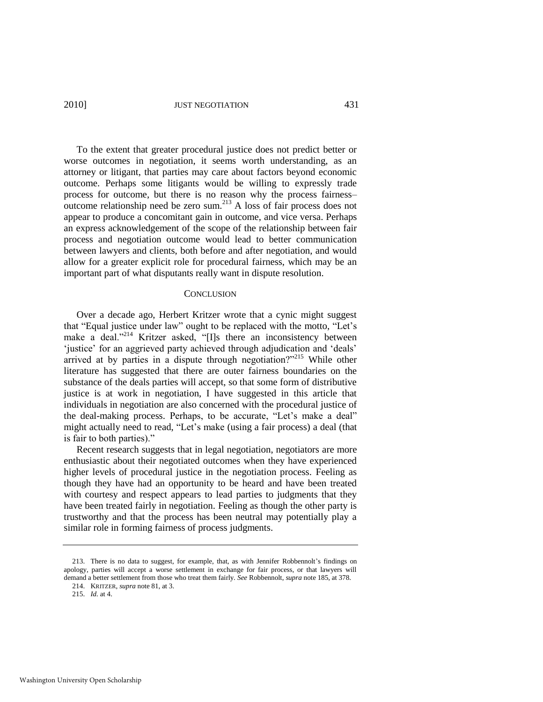2010] JUST NEGOTIATION 431

To the extent that greater procedural justice does not predict better or worse outcomes in negotiation, it seems worth understanding, as an attorney or litigant, that parties may care about factors beyond economic outcome. Perhaps some litigants would be willing to expressly trade process for outcome, but there is no reason why the process fairness– outcome relationship need be zero sum.<sup>213</sup> A loss of fair process does not appear to produce a concomitant gain in outcome, and vice versa. Perhaps an express acknowledgement of the scope of the relationship between fair process and negotiation outcome would lead to better communication between lawyers and clients, both before and after negotiation, and would allow for a greater explicit role for procedural fairness, which may be an important part of what disputants really want in dispute resolution.

#### **CONCLUSION**

Over a decade ago, Herbert Kritzer wrote that a cynic might suggest that "Equal justice under law" ought to be replaced with the motto, "Let's make a deal."<sup>214</sup> Kritzer asked, "[I]s there an inconsistency between 'justice' for an aggrieved party achieved through adjudication and 'deals' arrived at by parties in a dispute through negotiation? $2^{215}$  While other literature has suggested that there are outer fairness boundaries on the substance of the deals parties will accept, so that some form of distributive justice is at work in negotiation, I have suggested in this article that individuals in negotiation are also concerned with the procedural justice of the deal-making process. Perhaps, to be accurate, "Let's make a deal" might actually need to read, "Let's make (using a fair process) a deal (that is fair to both parties)."

Recent research suggests that in legal negotiation, negotiators are more enthusiastic about their negotiated outcomes when they have experienced higher levels of procedural justice in the negotiation process. Feeling as though they have had an opportunity to be heard and have been treated with courtesy and respect appears to lead parties to judgments that they have been treated fairly in negotiation. Feeling as though the other party is trustworthy and that the process has been neutral may potentially play a similar role in forming fairness of process judgments.

<sup>213.</sup> There is no data to suggest, for example, that, as with Jennifer Robbennolt's findings on apology, parties will accept a worse settlement in exchange for fair process, or that lawyers will demand a better settlement from those who treat them fairly. *See* Robbennolt, *supra* not[e 185,](#page-41-0) at 378.

<sup>214.</sup> KRITZER, *supra* note [81,](#page-17-2) at 3.

<sup>215.</sup> *Id.* at 4.